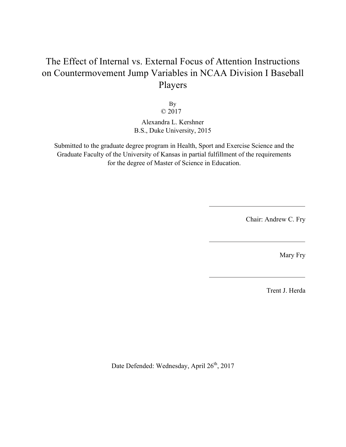# The Effect of Internal vs. External Focus of Attention Instructions on Countermovement Jump Variables in NCAA Division I Baseball Players

By © 2017

Alexandra L. Kershner B.S., Duke University, 2015

Submitted to the graduate degree program in Health, Sport and Exercise Science and the Graduate Faculty of the University of Kansas in partial fulfillment of the requirements for the degree of Master of Science in Education.

Chair: Andrew C. Fry

Mary Fry

Trent J. Herda

Date Defended: Wednesday, April 26<sup>th</sup>, 2017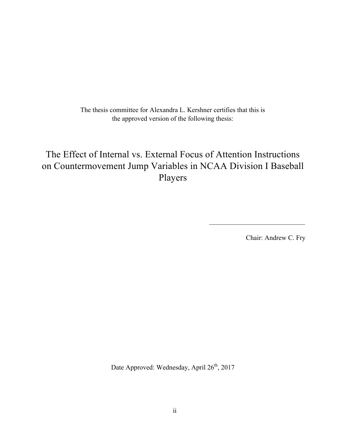The thesis committee for Alexandra L. Kershner certifies that this is the approved version of the following thesis:

# The Effect of Internal vs. External Focus of Attention Instructions on Countermovement Jump Variables in NCAA Division I Baseball Players

Chair: Andrew C. Fry

Date Approved: Wednesday, April 26<sup>th</sup>, 2017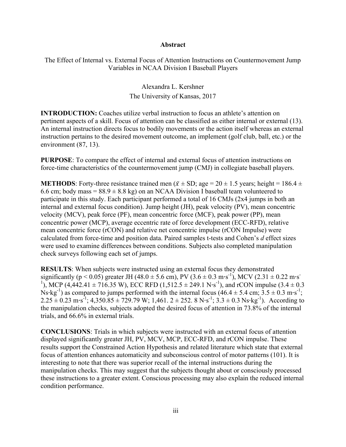#### **Abstract**

The Effect of Internal vs. External Focus of Attention Instructions on Countermovement Jump Variables in NCAA Division I Baseball Players

# Alexandra L. Kershner The University of Kansas, 2017

**INTRODUCTION:** Coaches utilize verbal instruction to focus an athlete's attention on pertinent aspects of a skill. Focus of attention can be classified as either internal or external (13). An internal instruction directs focus to bodily movements or the action itself whereas an external instruction pertains to the desired movement outcome, an implement (golf club, ball, etc.) or the environment (87, 13).

**PURPOSE**: To compare the effect of internal and external focus of attention instructions on force-time characteristics of the countermovement jump (CMJ) in collegiate baseball players.

**METHODS**: Forty-three resistance trained men ( $\bar{x} \pm SD$ ; age = 20  $\pm$  1.5 years; height = 186.4  $\pm$ 6.6 cm; body mass =  $88.9 \pm 8.8$  kg) on an NCAA Division I baseball team volunteered to participate in this study. Each participant performed a total of 16 CMJs (2x4 jumps in both an internal and external focus condition). Jump height (JH), peak velocity (PV), mean concentric velocity (MCV), peak force (PF), mean concentric force (MCF), peak power (PP), mean concentric power (MCP), average eccentric rate of force development (ECC-RFD), relative mean concentric force (rCON) and relative net concentric impulse (rCON Impulse) were calculated from force-time and position data. Paired samples t-tests and Cohen's *d* effect sizes were used to examine differences between conditions. Subjects also completed manipulation check surveys following each set of jumps.

**RESULTS**: When subjects were instructed using an external focus they demonstrated significantly ( $p < 0.05$ ) greater JH (48.0  $\pm$  5.6 cm), PV (3.6  $\pm$  0.3 m·s<sup>-1</sup>), MCV (2.31  $\pm$  0.22 m·s<sup>-1</sup>) <sup>1</sup>), MCP (4,442.41  $\pm$  716.35 W), ECC RFD (1,512.5  $\pm$  249.1 N·s<sup>-1</sup>), and rCON impulse (3.4  $\pm$  0.3 Ns·kg<sup>-1</sup>) as compared to jumps performed with the internal focus  $(46.4 \pm 5.4 \text{ cm}; 3.5 \pm 0.3 \text{ m}\cdot\text{s}^{-1})$ ;  $2.25 \pm 0.23$  m·s<sup>-1</sup>; 4,350.85  $\pm$  729.79 W; 1,461. 2  $\pm$  252. 8 N·s<sup>-1</sup>; 3.3  $\pm$  0.3 Ns·kg<sup>-1</sup>). According to the manipulation checks, subjects adopted the desired focus of attention in 73.8% of the internal trials, and 66.6% in external trials.

**CONCLUSIONS**: Trials in which subjects were instructed with an external focus of attention displayed significantly greater JH, PV, MCV, MCP, ECC-RFD, and rCON impulse. These results support the Constrained Action Hypothesis and related literature which state that external focus of attention enhances automaticity and subconscious control of motor patterns (101). It is interesting to note that there was superior recall of the internal instructions during the manipulation checks. This may suggest that the subjects thought about or consciously processed these instructions to a greater extent. Conscious processing may also explain the reduced internal condition performance.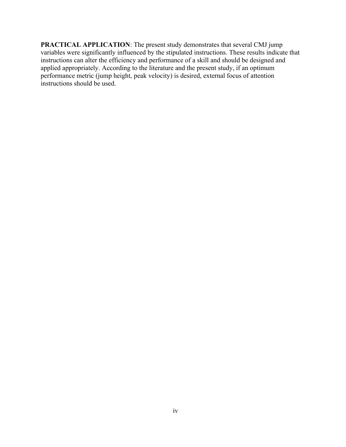**PRACTICAL APPLICATION**: The present study demonstrates that several CMJ jump variables were significantly influenced by the stipulated instructions. These results indicate that instructions can alter the efficiency and performance of a skill and should be designed and applied appropriately. According to the literature and the present study, if an optimum performance metric (jump height, peak velocity) is desired, external focus of attention instructions should be used.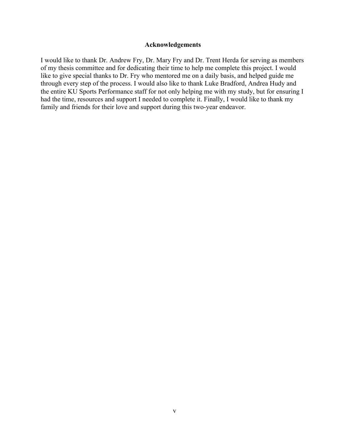#### **Acknowledgements**

I would like to thank Dr. Andrew Fry, Dr. Mary Fry and Dr. Trent Herda for serving as members of my thesis committee and for dedicating their time to help me complete this project. I would like to give special thanks to Dr. Fry who mentored me on a daily basis, and helped guide me through every step of the process. I would also like to thank Luke Bradford, Andrea Hudy and the entire KU Sports Performance staff for not only helping me with my study, but for ensuring I had the time, resources and support I needed to complete it. Finally, I would like to thank my family and friends for their love and support during this two-year endeavor.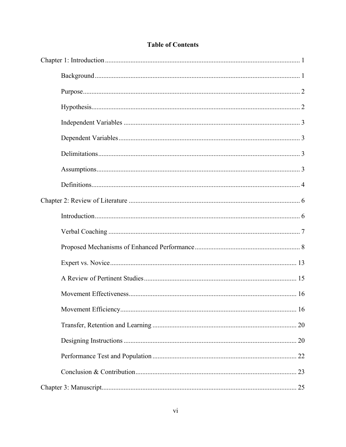| 16 |
|----|
|    |
|    |
|    |
|    |
|    |

# **Table of Contents**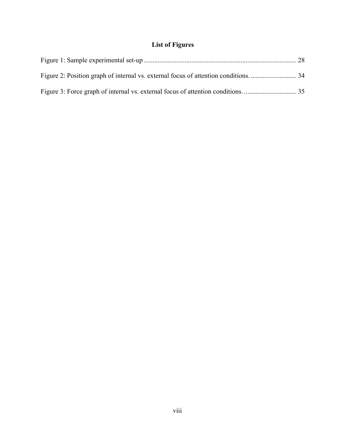# **List of Figures**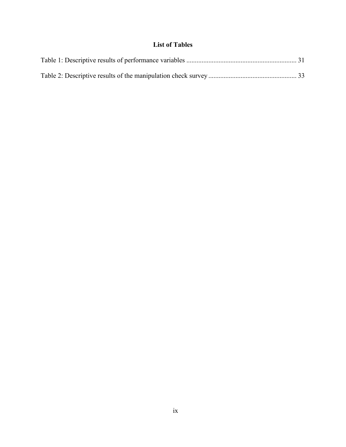# **List of Tables**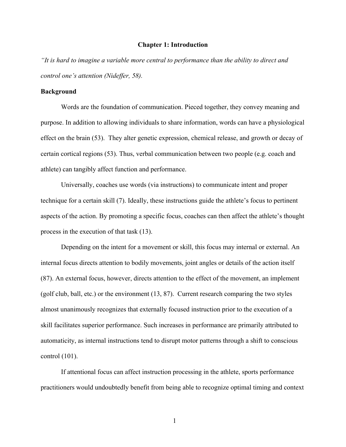#### **Chapter 1: Introduction**

*"It is hard to imagine a variable more central to performance than the ability to direct and control one's attention (Nideffer, 58).*

#### **Background**

Words are the foundation of communication. Pieced together, they convey meaning and purpose. In addition to allowing individuals to share information, words can have a physiological effect on the brain (53). They alter genetic expression, chemical release, and growth or decay of certain cortical regions (53). Thus, verbal communication between two people (e.g. coach and athlete) can tangibly affect function and performance.

Universally, coaches use words (via instructions) to communicate intent and proper technique for a certain skill (7). Ideally, these instructions guide the athlete's focus to pertinent aspects of the action. By promoting a specific focus, coaches can then affect the athlete's thought process in the execution of that task (13).

Depending on the intent for a movement or skill, this focus may internal or external. An internal focus directs attention to bodily movements, joint angles or details of the action itself (87). An external focus, however, directs attention to the effect of the movement, an implement (golf club, ball, etc.) or the environment (13, 87). Current research comparing the two styles almost unanimously recognizes that externally focused instruction prior to the execution of a skill facilitates superior performance. Such increases in performance are primarily attributed to automaticity, as internal instructions tend to disrupt motor patterns through a shift to conscious control (101).

If attentional focus can affect instruction processing in the athlete, sports performance practitioners would undoubtedly benefit from being able to recognize optimal timing and context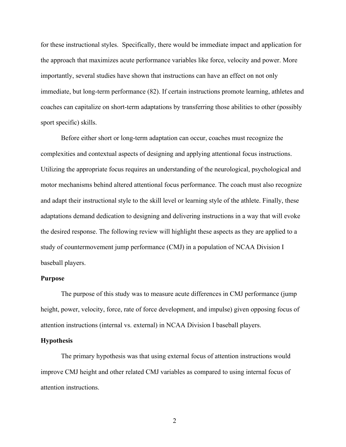for these instructional styles. Specifically, there would be immediate impact and application for the approach that maximizes acute performance variables like force, velocity and power. More importantly, several studies have shown that instructions can have an effect on not only immediate, but long-term performance (82). If certain instructions promote learning, athletes and coaches can capitalize on short-term adaptations by transferring those abilities to other (possibly sport specific) skills.

Before either short or long-term adaptation can occur, coaches must recognize the complexities and contextual aspects of designing and applying attentional focus instructions. Utilizing the appropriate focus requires an understanding of the neurological, psychological and motor mechanisms behind altered attentional focus performance. The coach must also recognize and adapt their instructional style to the skill level or learning style of the athlete. Finally, these adaptations demand dedication to designing and delivering instructions in a way that will evoke the desired response. The following review will highlight these aspects as they are applied to a study of countermovement jump performance (CMJ) in a population of NCAA Division I baseball players.

#### **Purpose**

The purpose of this study was to measure acute differences in CMJ performance (jump height, power, velocity, force, rate of force development, and impulse) given opposing focus of attention instructions (internal vs. external) in NCAA Division I baseball players.

#### **Hypothesis**

The primary hypothesis was that using external focus of attention instructions would improve CMJ height and other related CMJ variables as compared to using internal focus of attention instructions.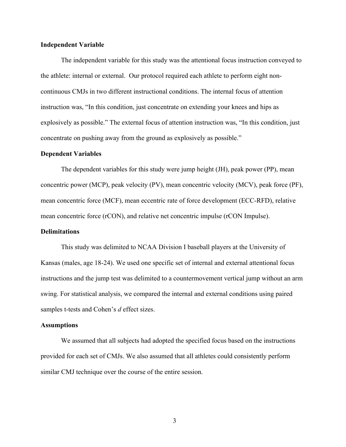#### **Independent Variable**

The independent variable for this study was the attentional focus instruction conveyed to the athlete: internal or external. Our protocol required each athlete to perform eight noncontinuous CMJs in two different instructional conditions. The internal focus of attention instruction was, "In this condition, just concentrate on extending your knees and hips as explosively as possible." The external focus of attention instruction was, "In this condition, just concentrate on pushing away from the ground as explosively as possible."

#### **Dependent Variables**

The dependent variables for this study were jump height (JH), peak power (PP), mean concentric power (MCP), peak velocity (PV), mean concentric velocity (MCV), peak force (PF), mean concentric force (MCF), mean eccentric rate of force development (ECC-RFD), relative mean concentric force (rCON), and relative net concentric impulse (rCON Impulse).

#### **Delimitations**

This study was delimited to NCAA Division I baseball players at the University of Kansas (males, age 18-24). We used one specific set of internal and external attentional focus instructions and the jump test was delimited to a countermovement vertical jump without an arm swing. For statistical analysis, we compared the internal and external conditions using paired samples t-tests and Cohen's *d* effect sizes.

#### **Assumptions**

We assumed that all subjects had adopted the specified focus based on the instructions provided for each set of CMJs. We also assumed that all athletes could consistently perform similar CMJ technique over the course of the entire session.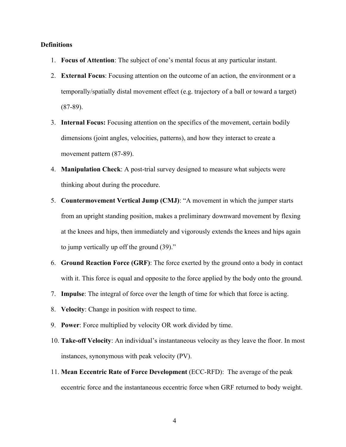#### **Definitions**

- 1. **Focus of Attention**: The subject of one's mental focus at any particular instant.
- 2. **External Focus**: Focusing attention on the outcome of an action, the environment or a temporally/spatially distal movement effect (e.g. trajectory of a ball or toward a target) (87-89).
- 3. **Internal Focus:** Focusing attention on the specifics of the movement, certain bodily dimensions (joint angles, velocities, patterns), and how they interact to create a movement pattern (87-89).
- 4. **Manipulation Check**: A post-trial survey designed to measure what subjects were thinking about during the procedure.
- 5. **Countermovement Vertical Jump (CMJ)**: "A movement in which the jumper starts from an upright standing position, makes a preliminary downward movement by flexing at the knees and hips, then immediately and vigorously extends the knees and hips again to jump vertically up off the ground (39)."
- 6. **Ground Reaction Force (GRF)**: The force exerted by the ground onto a body in contact with it. This force is equal and opposite to the force applied by the body onto the ground.
- 7. **Impulse**: The integral of force over the length of time for which that force is acting.
- 8. **Velocity**: Change in position with respect to time.
- 9. **Power**: Force multiplied by velocity OR work divided by time.
- 10. **Take-off Velocity**: An individual's instantaneous velocity as they leave the floor. In most instances, synonymous with peak velocity (PV).
- 11. **Mean Eccentric Rate of Force Development** (ECC-RFD): The average of the peak eccentric force and the instantaneous eccentric force when GRF returned to body weight.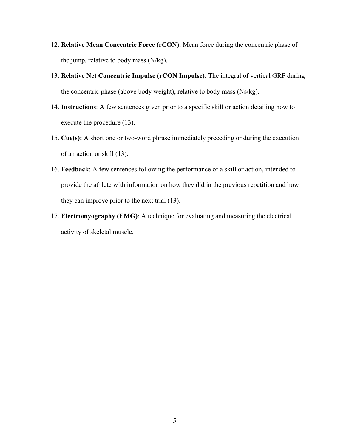- 12. **Relative Mean Concentric Force (rCON)**: Mean force during the concentric phase of the jump, relative to body mass (N/kg).
- 13. **Relative Net Concentric Impulse (rCON Impulse)**: The integral of vertical GRF during the concentric phase (above body weight), relative to body mass (Ns/kg).
- 14. **Instructions**: A few sentences given prior to a specific skill or action detailing how to execute the procedure (13).
- 15. **Cue(s):** A short one or two-word phrase immediately preceding or during the execution of an action or skill (13).
- 16. **Feedback**: A few sentences following the performance of a skill or action, intended to provide the athlete with information on how they did in the previous repetition and how they can improve prior to the next trial (13).
- 17. **Electromyography (EMG)**: A technique for evaluating and measuring the electrical activity of skeletal muscle.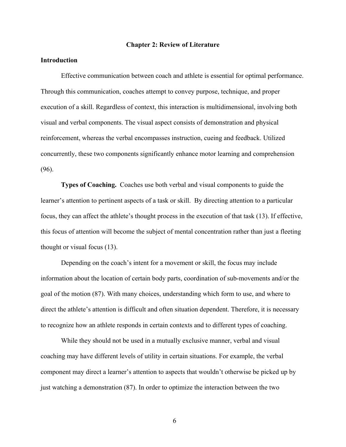#### **Chapter 2: Review of Literature**

#### **Introduction**

Effective communication between coach and athlete is essential for optimal performance. Through this communication, coaches attempt to convey purpose, technique, and proper execution of a skill. Regardless of context, this interaction is multidimensional, involving both visual and verbal components. The visual aspect consists of demonstration and physical reinforcement, whereas the verbal encompasses instruction, cueing and feedback. Utilized concurrently, these two components significantly enhance motor learning and comprehension (96).

**Types of Coaching.** Coaches use both verbal and visual components to guide the learner's attention to pertinent aspects of a task or skill. By directing attention to a particular focus, they can affect the athlete's thought process in the execution of that task (13). If effective, this focus of attention will become the subject of mental concentration rather than just a fleeting thought or visual focus (13).

Depending on the coach's intent for a movement or skill, the focus may include information about the location of certain body parts, coordination of sub-movements and/or the goal of the motion (87). With many choices, understanding which form to use, and where to direct the athlete's attention is difficult and often situation dependent. Therefore, it is necessary to recognize how an athlete responds in certain contexts and to different types of coaching.

While they should not be used in a mutually exclusive manner, verbal and visual coaching may have different levels of utility in certain situations. For example, the verbal component may direct a learner's attention to aspects that wouldn't otherwise be picked up by just watching a demonstration (87). In order to optimize the interaction between the two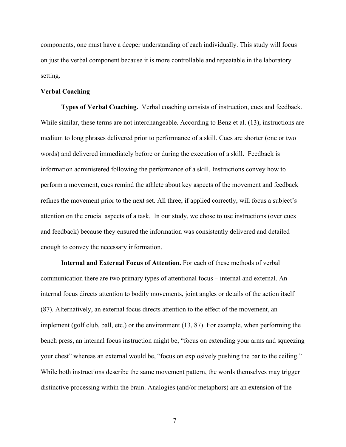components, one must have a deeper understanding of each individually. This study will focus on just the verbal component because it is more controllable and repeatable in the laboratory setting.

#### **Verbal Coaching**

**Types of Verbal Coaching.** Verbal coaching consists of instruction, cues and feedback. While similar, these terms are not interchangeable. According to Benz et al. (13), instructions are medium to long phrases delivered prior to performance of a skill. Cues are shorter (one or two words) and delivered immediately before or during the execution of a skill. Feedback is information administered following the performance of a skill. Instructions convey how to perform a movement, cues remind the athlete about key aspects of the movement and feedback refines the movement prior to the next set. All three, if applied correctly, will focus a subject's attention on the crucial aspects of a task. In our study, we chose to use instructions (over cues and feedback) because they ensured the information was consistently delivered and detailed enough to convey the necessary information.

**Internal and External Focus of Attention.** For each of these methods of verbal communication there are two primary types of attentional focus – internal and external. An internal focus directs attention to bodily movements, joint angles or details of the action itself (87). Alternatively, an external focus directs attention to the effect of the movement, an implement (golf club, ball, etc.) or the environment (13, 87). For example, when performing the bench press, an internal focus instruction might be, "focus on extending your arms and squeezing your chest" whereas an external would be, "focus on explosively pushing the bar to the ceiling." While both instructions describe the same movement pattern, the words themselves may trigger distinctive processing within the brain. Analogies (and/or metaphors) are an extension of the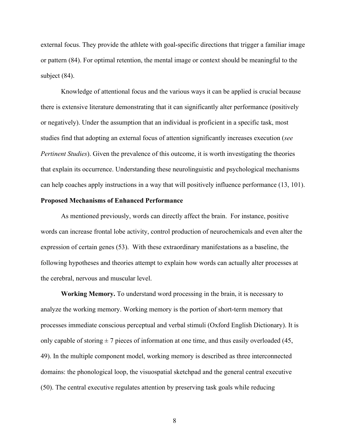external focus. They provide the athlete with goal-specific directions that trigger a familiar image or pattern (84). For optimal retention, the mental image or context should be meaningful to the subject (84).

Knowledge of attentional focus and the various ways it can be applied is crucial because there is extensive literature demonstrating that it can significantly alter performance (positively or negatively). Under the assumption that an individual is proficient in a specific task, most studies find that adopting an external focus of attention significantly increases execution (*see Pertinent Studies*). Given the prevalence of this outcome, it is worth investigating the theories that explain its occurrence. Understanding these neurolinguistic and psychological mechanisms can help coaches apply instructions in a way that will positively influence performance (13, 101).

#### **Proposed Mechanisms of Enhanced Performance**

As mentioned previously, words can directly affect the brain. For instance, positive words can increase frontal lobe activity, control production of neurochemicals and even alter the expression of certain genes (53). With these extraordinary manifestations as a baseline, the following hypotheses and theories attempt to explain how words can actually alter processes at the cerebral, nervous and muscular level.

**Working Memory.** To understand word processing in the brain, it is necessary to analyze the working memory. Working memory is the portion of short-term memory that processes immediate conscious perceptual and verbal stimuli (Oxford English Dictionary). It is only capable of storing  $\pm$  7 pieces of information at one time, and thus easily overloaded (45, 49). In the multiple component model, working memory is described as three interconnected domains: the phonological loop, the visuospatial sketchpad and the general central executive (50). The central executive regulates attention by preserving task goals while reducing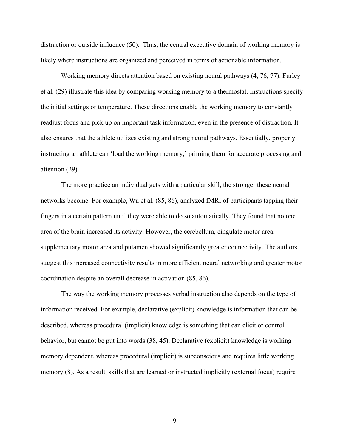distraction or outside influence (50). Thus, the central executive domain of working memory is likely where instructions are organized and perceived in terms of actionable information.

Working memory directs attention based on existing neural pathways (4, 76, 77). Furley et al. (29) illustrate this idea by comparing working memory to a thermostat. Instructions specify the initial settings or temperature. These directions enable the working memory to constantly readjust focus and pick up on important task information, even in the presence of distraction. It also ensures that the athlete utilizes existing and strong neural pathways. Essentially, properly instructing an athlete can 'load the working memory,' priming them for accurate processing and attention (29).

The more practice an individual gets with a particular skill, the stronger these neural networks become. For example, Wu et al. (85, 86), analyzed fMRI of participants tapping their fingers in a certain pattern until they were able to do so automatically. They found that no one area of the brain increased its activity. However, the cerebellum, cingulate motor area, supplementary motor area and putamen showed significantly greater connectivity. The authors suggest this increased connectivity results in more efficient neural networking and greater motor coordination despite an overall decrease in activation (85, 86).

The way the working memory processes verbal instruction also depends on the type of information received. For example, declarative (explicit) knowledge is information that can be described, whereas procedural (implicit) knowledge is something that can elicit or control behavior, but cannot be put into words (38, 45). Declarative (explicit) knowledge is working memory dependent, whereas procedural (implicit) is subconscious and requires little working memory (8). As a result, skills that are learned or instructed implicitly (external focus) require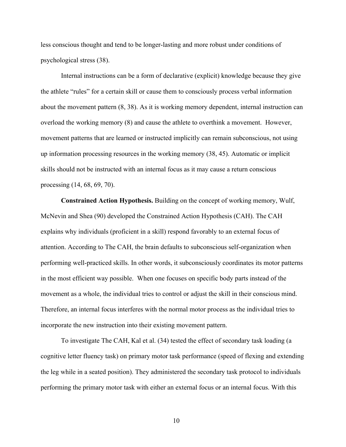less conscious thought and tend to be longer-lasting and more robust under conditions of psychological stress (38).

Internal instructions can be a form of declarative (explicit) knowledge because they give the athlete "rules" for a certain skill or cause them to consciously process verbal information about the movement pattern (8, 38). As it is working memory dependent, internal instruction can overload the working memory (8) and cause the athlete to overthink a movement. However, movement patterns that are learned or instructed implicitly can remain subconscious, not using up information processing resources in the working memory (38, 45). Automatic or implicit skills should not be instructed with an internal focus as it may cause a return conscious processing (14, 68, 69, 70).

**Constrained Action Hypothesis.** Building on the concept of working memory, Wulf, McNevin and Shea (90) developed the Constrained Action Hypothesis (CAH). The CAH explains why individuals (proficient in a skill) respond favorably to an external focus of attention. According to The CAH, the brain defaults to subconscious self-organization when performing well-practiced skills. In other words, it subconsciously coordinates its motor patterns in the most efficient way possible. When one focuses on specific body parts instead of the movement as a whole, the individual tries to control or adjust the skill in their conscious mind. Therefore, an internal focus interferes with the normal motor process as the individual tries to incorporate the new instruction into their existing movement pattern.

To investigate The CAH, Kal et al. (34) tested the effect of secondary task loading (a cognitive letter fluency task) on primary motor task performance (speed of flexing and extending the leg while in a seated position). They administered the secondary task protocol to individuals performing the primary motor task with either an external focus or an internal focus. With this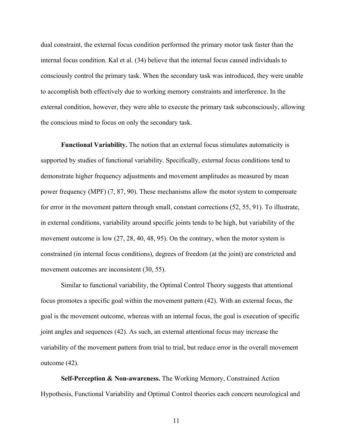dual constraint, the external focus condition performed the primary motor task faster than the internal focus condition. Kal et al. (34) believe that the internal focus caused individuals to consciously control the primary task. When the secondary task was introduced, they were unable to accomplish both effectively due to working memory constraints and interference. In the external condition, however, they were able to execute the primary task subconsciously, allowing the conscious mind to focus on only the secondary task.

**Functional Variability.** The notion that an external focus stimulates automaticity is supported by studies of functional variability. Specifically, external focus conditions tend to demonstrate higher frequency adjustments and movement amplitudes as measured by mean power frequency (MPF) (7, 87, 90). These mechanisms allow the motor system to compensate for error in the movement pattern through small, constant corrections (52, 55, 91). To illustrate, in external conditions, variability around specific joints tends to be high, but variability of the movement outcome is low (27, 28, 40, 48, 95). On the contrary, when the motor system is constrained (in internal focus conditions), degrees of freedom (at the joint) are constricted and movement outcomes are inconsistent (30, 55).

Similar to functional variability, the Optimal Control Theory suggests that attentional focus promotes a specific goal within the movement pattern (42). With an external focus, the goal is the movement outcome, whereas with an internal focus, the goal is execution of specific joint angles and sequences (42). As such, an external attentional focus may increase the variability of the movement pattern from trial to trial, but reduce error in the overall movement outcome (42).

**Self-Perception & Non-awareness.** The Working Memory, Constrained Action Hypothesis, Functional Variability and Optimal Control theories each concern neurological and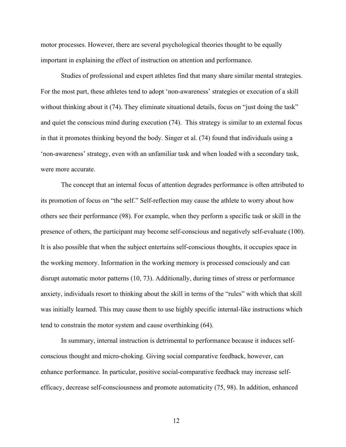motor processes. However, there are several psychological theories thought to be equally important in explaining the effect of instruction on attention and performance.

Studies of professional and expert athletes find that many share similar mental strategies. For the most part, these athletes tend to adopt 'non-awareness' strategies or execution of a skill without thinking about it (74). They eliminate situational details, focus on "just doing the task" and quiet the conscious mind during execution (74). This strategy is similar to an external focus in that it promotes thinking beyond the body. Singer et al. (74) found that individuals using a 'non-awareness' strategy, even with an unfamiliar task and when loaded with a secondary task, were more accurate.

The concept that an internal focus of attention degrades performance is often attributed to its promotion of focus on "the self." Self-reflection may cause the athlete to worry about how others see their performance (98). For example, when they perform a specific task or skill in the presence of others, the participant may become self-conscious and negatively self-evaluate (100). It is also possible that when the subject entertains self-conscious thoughts, it occupies space in the working memory. Information in the working memory is processed consciously and can disrupt automatic motor patterns (10, 73). Additionally, during times of stress or performance anxiety, individuals resort to thinking about the skill in terms of the "rules" with which that skill was initially learned. This may cause them to use highly specific internal-like instructions which tend to constrain the motor system and cause overthinking (64).

In summary, internal instruction is detrimental to performance because it induces selfconscious thought and micro-choking. Giving social comparative feedback, however, can enhance performance. In particular, positive social-comparative feedback may increase selfefficacy, decrease self-consciousness and promote automaticity (75, 98). In addition, enhanced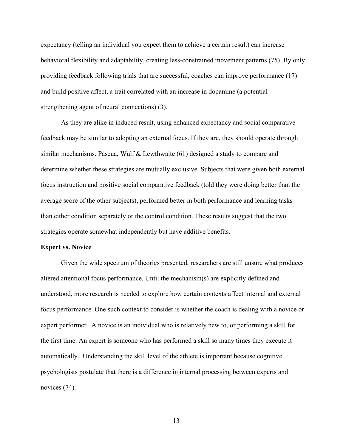expectancy (telling an individual you expect them to achieve a certain result) can increase behavioral flexibility and adaptability, creating less-constrained movement patterns (75). By only providing feedback following trials that are successful, coaches can improve performance (17) and build positive affect, a trait correlated with an increase in dopamine (a potential strengthening agent of neural connections) (3).

As they are alike in induced result, using enhanced expectancy and social comparative feedback may be similar to adopting an external focus. If they are, they should operate through similar mechanisms. Pascua, Wulf & Lewthwaite (61) designed a study to compare and determine whether these strategies are mutually exclusive. Subjects that were given both external focus instruction and positive social comparative feedback (told they were doing better than the average score of the other subjects), performed better in both performance and learning tasks than either condition separately or the control condition. These results suggest that the two strategies operate somewhat independently but have additive benefits.

#### **Expert vs. Novice**

Given the wide spectrum of theories presented, researchers are still unsure what produces altered attentional focus performance. Until the mechanism(s) are explicitly defined and understood, more research is needed to explore how certain contexts affect internal and external focus performance. One such context to consider is whether the coach is dealing with a novice or expert performer. A novice is an individual who is relatively new to, or performing a skill for the first time. An expert is someone who has performed a skill so many times they execute it automatically. Understanding the skill level of the athlete is important because cognitive psychologists postulate that there is a difference in internal processing between experts and novices  $(74)$ .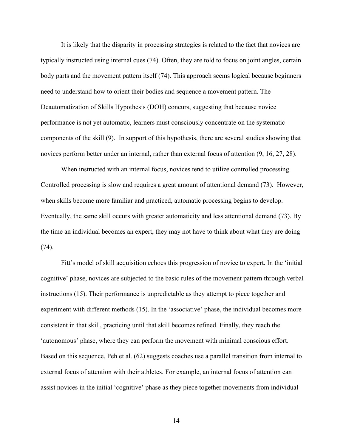It is likely that the disparity in processing strategies is related to the fact that novices are typically instructed using internal cues (74). Often, they are told to focus on joint angles, certain body parts and the movement pattern itself (74). This approach seems logical because beginners need to understand how to orient their bodies and sequence a movement pattern. The Deautomatization of Skills Hypothesis (DOH) concurs, suggesting that because novice performance is not yet automatic, learners must consciously concentrate on the systematic components of the skill (9). In support of this hypothesis, there are several studies showing that novices perform better under an internal, rather than external focus of attention (9, 16, 27, 28).

When instructed with an internal focus, novices tend to utilize controlled processing. Controlled processing is slow and requires a great amount of attentional demand (73). However, when skills become more familiar and practiced, automatic processing begins to develop. Eventually, the same skill occurs with greater automaticity and less attentional demand (73). By the time an individual becomes an expert, they may not have to think about what they are doing (74).

Fitt's model of skill acquisition echoes this progression of novice to expert. In the 'initial cognitive' phase, novices are subjected to the basic rules of the movement pattern through verbal instructions (15). Their performance is unpredictable as they attempt to piece together and experiment with different methods (15). In the 'associative' phase, the individual becomes more consistent in that skill, practicing until that skill becomes refined. Finally, they reach the 'autonomous' phase, where they can perform the movement with minimal conscious effort. Based on this sequence, Peh et al. (62) suggests coaches use a parallel transition from internal to external focus of attention with their athletes. For example, an internal focus of attention can assist novices in the initial 'cognitive' phase as they piece together movements from individual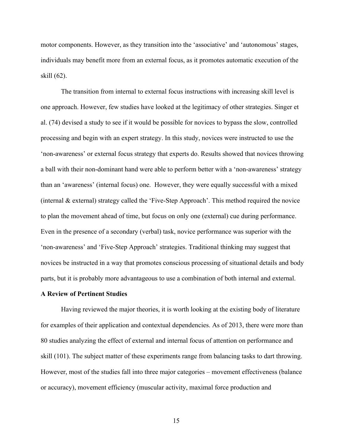motor components. However, as they transition into the 'associative' and 'autonomous' stages, individuals may benefit more from an external focus, as it promotes automatic execution of the skill (62).

The transition from internal to external focus instructions with increasing skill level is one approach. However, few studies have looked at the legitimacy of other strategies. Singer et al. (74) devised a study to see if it would be possible for novices to bypass the slow, controlled processing and begin with an expert strategy. In this study, novices were instructed to use the 'non-awareness' or external focus strategy that experts do. Results showed that novices throwing a ball with their non-dominant hand were able to perform better with a 'non-awareness' strategy than an 'awareness' (internal focus) one. However, they were equally successful with a mixed (internal & external) strategy called the 'Five-Step Approach'. This method required the novice to plan the movement ahead of time, but focus on only one (external) cue during performance. Even in the presence of a secondary (verbal) task, novice performance was superior with the 'non-awareness' and 'Five-Step Approach' strategies. Traditional thinking may suggest that novices be instructed in a way that promotes conscious processing of situational details and body parts, but it is probably more advantageous to use a combination of both internal and external.

#### **A Review of Pertinent Studies**

Having reviewed the major theories, it is worth looking at the existing body of literature for examples of their application and contextual dependencies. As of 2013, there were more than 80 studies analyzing the effect of external and internal focus of attention on performance and skill (101). The subject matter of these experiments range from balancing tasks to dart throwing. However, most of the studies fall into three major categories – movement effectiveness (balance or accuracy), movement efficiency (muscular activity, maximal force production and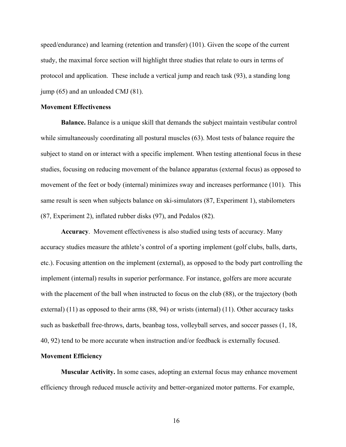speed/endurance) and learning (retention and transfer) (101). Given the scope of the current study, the maximal force section will highlight three studies that relate to ours in terms of protocol and application. These include a vertical jump and reach task (93), a standing long jump (65) and an unloaded CMJ (81).

#### **Movement Effectiveness**

**Balance.** Balance is a unique skill that demands the subject maintain vestibular control while simultaneously coordinating all postural muscles (63). Most tests of balance require the subject to stand on or interact with a specific implement. When testing attentional focus in these studies, focusing on reducing movement of the balance apparatus (external focus) as opposed to movement of the feet or body (internal) minimizes sway and increases performance (101). This same result is seen when subjects balance on ski-simulators (87, Experiment 1), stabilometers (87, Experiment 2), inflated rubber disks (97), and Pedalos (82).

**Accuracy**.Movement effectiveness is also studied using tests of accuracy. Many accuracy studies measure the athlete's control of a sporting implement (golf clubs, balls, darts, etc.). Focusing attention on the implement (external), as opposed to the body part controlling the implement (internal) results in superior performance. For instance, golfers are more accurate with the placement of the ball when instructed to focus on the club  $(88)$ , or the trajectory (both external) (11) as opposed to their arms (88, 94) or wrists (internal) (11). Other accuracy tasks such as basketball free-throws, darts, beanbag toss, volleyball serves, and soccer passes (1, 18, 40, 92) tend to be more accurate when instruction and/or feedback is externally focused.

#### **Movement Efficiency**

**Muscular Activity.** In some cases, adopting an external focus may enhance movement efficiency through reduced muscle activity and better-organized motor patterns. For example,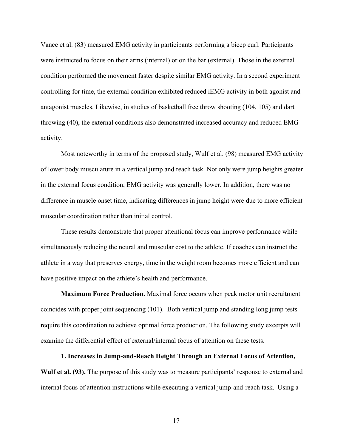Vance et al. (83) measured EMG activity in participants performing a bicep curl. Participants were instructed to focus on their arms (internal) or on the bar (external). Those in the external condition performed the movement faster despite similar EMG activity. In a second experiment controlling for time, the external condition exhibited reduced iEMG activity in both agonist and antagonist muscles. Likewise, in studies of basketball free throw shooting (104, 105) and dart throwing (40), the external conditions also demonstrated increased accuracy and reduced EMG activity.

Most noteworthy in terms of the proposed study, Wulf et al. (98) measured EMG activity of lower body musculature in a vertical jump and reach task. Not only were jump heights greater in the external focus condition, EMG activity was generally lower. In addition, there was no difference in muscle onset time, indicating differences in jump height were due to more efficient muscular coordination rather than initial control.

These results demonstrate that proper attentional focus can improve performance while simultaneously reducing the neural and muscular cost to the athlete. If coaches can instruct the athlete in a way that preserves energy, time in the weight room becomes more efficient and can have positive impact on the athlete's health and performance.

**Maximum Force Production.** Maximal force occurs when peak motor unit recruitment coincides with proper joint sequencing (101). Both vertical jump and standing long jump tests require this coordination to achieve optimal force production. The following study excerpts will examine the differential effect of external/internal focus of attention on these tests.

**1. Increases in Jump-and-Reach Height Through an External Focus of Attention, Wulf et al. (93).** The purpose of this study was to measure participants' response to external and internal focus of attention instructions while executing a vertical jump-and-reach task. Using a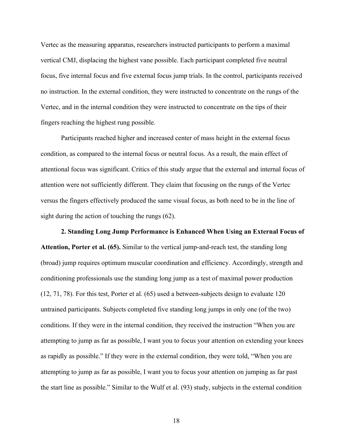Vertec as the measuring apparatus, researchers instructed participants to perform a maximal vertical CMJ, displacing the highest vane possible. Each participant completed five neutral focus, five internal focus and five external focus jump trials. In the control, participants received no instruction. In the external condition, they were instructed to concentrate on the rungs of the Vertec, and in the internal condition they were instructed to concentrate on the tips of their fingers reaching the highest rung possible.

Participants reached higher and increased center of mass height in the external focus condition, as compared to the internal focus or neutral focus. As a result, the main effect of attentional focus was significant. Critics of this study argue that the external and internal focus of attention were not sufficiently different. They claim that focusing on the rungs of the Vertec versus the fingers effectively produced the same visual focus, as both need to be in the line of sight during the action of touching the rungs (62).

**2. Standing Long Jump Performance is Enhanced When Using an External Focus of Attention, Porter et al. (65).** Similar to the vertical jump-and-reach test, the standing long (broad) jump requires optimum muscular coordination and efficiency. Accordingly, strength and conditioning professionals use the standing long jump as a test of maximal power production (12, 71, 78). For this test, Porter et al. (65) used a between-subjects design to evaluate 120 untrained participants. Subjects completed five standing long jumps in only one (of the two) conditions. If they were in the internal condition, they received the instruction "When you are attempting to jump as far as possible, I want you to focus your attention on extending your knees as rapidly as possible." If they were in the external condition, they were told, "When you are attempting to jump as far as possible, I want you to focus your attention on jumping as far past the start line as possible." Similar to the Wulf et al. (93) study, subjects in the external condition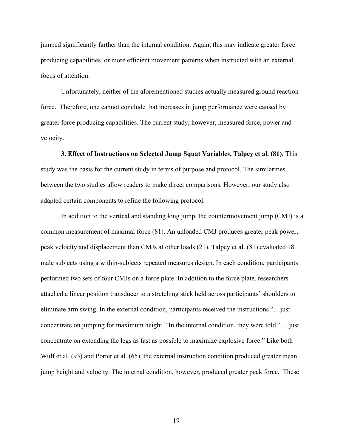jumped significantly farther than the internal condition. Again, this may indicate greater force producing capabilities, or more efficient movement patterns when instructed with an external focus of attention.

Unfortunately, neither of the aforementioned studies actually measured ground reaction force. Therefore, one cannot conclude that increases in jump performance were caused by greater force producing capabilities. The current study, however, measured force, power and velocity.

**3. Effect of Instructions on Selected Jump Squat Variables, Talpey et al. (81).** This study was the basis for the current study in terms of purpose and protocol. The similarities between the two studies allow readers to make direct comparisons. However, our study also adapted certain components to refine the following protocol.

In addition to the vertical and standing long jump, the countermovement jump (CMJ) is a common measurement of maximal force (81). An unloaded CMJ produces greater peak power, peak velocity and displacement than CMJs at other loads (21). Talpey et al. (81) evaluated 18 male subjects using a within-subjects repeated measures design. In each condition, participants performed two sets of four CMJs on a force plate. In addition to the force plate, researchers attached a linear position transducer to a stretching stick held across participants' shoulders to eliminate arm swing. In the external condition, participants received the instructions "…just concentrate on jumping for maximum height." In the internal condition, they were told "… just concentrate on extending the legs as fast as possible to maximize explosive force." Like both Wulf et al. (93) and Porter et al. (65), the external instruction condition produced greater mean jump height and velocity. The internal condition, however, produced greater peak force. These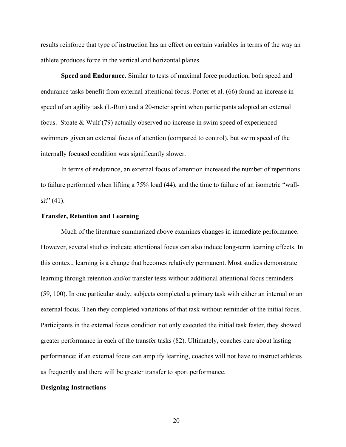results reinforce that type of instruction has an effect on certain variables in terms of the way an athlete produces force in the vertical and horizontal planes.

**Speed and Endurance.** Similar to tests of maximal force production, both speed and endurance tasks benefit from external attentional focus. Porter et al. (66) found an increase in speed of an agility task (L-Run) and a 20-meter sprint when participants adopted an external focus. Stoate & Wulf (79) actually observed no increase in swim speed of experienced swimmers given an external focus of attention (compared to control), but swim speed of the internally focused condition was significantly slower.

In terms of endurance, an external focus of attention increased the number of repetitions to failure performed when lifting a 75% load (44), and the time to failure of an isometric "wall- $\sin^{3}(41)$ .

#### **Transfer, Retention and Learning**

Much of the literature summarized above examines changes in immediate performance. However, several studies indicate attentional focus can also induce long-term learning effects. In this context, learning is a change that becomes relatively permanent. Most studies demonstrate learning through retention and/or transfer tests without additional attentional focus reminders (59, 100). In one particular study, subjects completed a primary task with either an internal or an external focus. Then they completed variations of that task without reminder of the initial focus. Participants in the external focus condition not only executed the initial task faster, they showed greater performance in each of the transfer tasks (82). Ultimately, coaches care about lasting performance; if an external focus can amplify learning, coaches will not have to instruct athletes as frequently and there will be greater transfer to sport performance.

#### **Designing Instructions**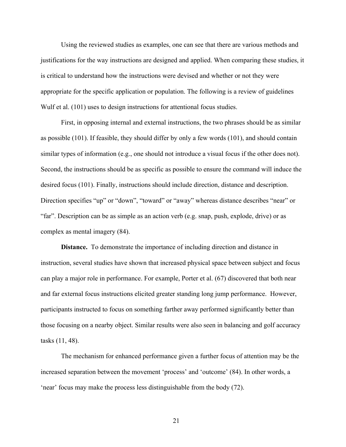Using the reviewed studies as examples, one can see that there are various methods and justifications for the way instructions are designed and applied. When comparing these studies, it is critical to understand how the instructions were devised and whether or not they were appropriate for the specific application or population. The following is a review of guidelines Wulf et al. (101) uses to design instructions for attentional focus studies.

First, in opposing internal and external instructions, the two phrases should be as similar as possible (101). If feasible, they should differ by only a few words (101), and should contain similar types of information (e.g., one should not introduce a visual focus if the other does not). Second, the instructions should be as specific as possible to ensure the command will induce the desired focus (101). Finally, instructions should include direction, distance and description. Direction specifies "up" or "down", "toward" or "away" whereas distance describes "near" or "far". Description can be as simple as an action verb (e.g. snap, push, explode, drive) or as complex as mental imagery (84).

**Distance.** To demonstrate the importance of including direction and distance in instruction, several studies have shown that increased physical space between subject and focus can play a major role in performance. For example, Porter et al. (67) discovered that both near and far external focus instructions elicited greater standing long jump performance. However, participants instructed to focus on something farther away performed significantly better than those focusing on a nearby object. Similar results were also seen in balancing and golf accuracy tasks (11, 48).

The mechanism for enhanced performance given a further focus of attention may be the increased separation between the movement 'process' and 'outcome' (84). In other words, a 'near' focus may make the process less distinguishable from the body (72).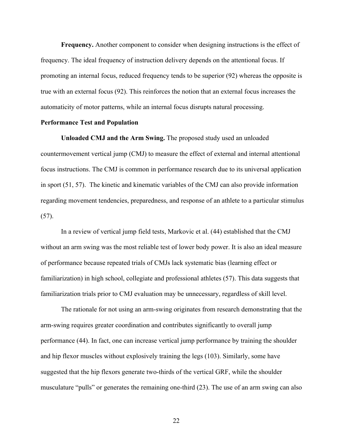**Frequency.** Another component to consider when designing instructions is the effect of frequency. The ideal frequency of instruction delivery depends on the attentional focus. If promoting an internal focus, reduced frequency tends to be superior (92) whereas the opposite is true with an external focus (92). This reinforces the notion that an external focus increases the automaticity of motor patterns, while an internal focus disrupts natural processing.

#### **Performance Test and Population**

**Unloaded CMJ and the Arm Swing.** The proposed study used an unloaded countermovement vertical jump (CMJ) to measure the effect of external and internal attentional focus instructions. The CMJ is common in performance research due to its universal application in sport (51, 57). The kinetic and kinematic variables of the CMJ can also provide information regarding movement tendencies, preparedness, and response of an athlete to a particular stimulus (57).

In a review of vertical jump field tests, Markovic et al. (44) established that the CMJ without an arm swing was the most reliable test of lower body power. It is also an ideal measure of performance because repeated trials of CMJs lack systematic bias (learning effect or familiarization) in high school, collegiate and professional athletes (57). This data suggests that familiarization trials prior to CMJ evaluation may be unnecessary, regardless of skill level.

The rationale for not using an arm-swing originates from research demonstrating that the arm-swing requires greater coordination and contributes significantly to overall jump performance (44). In fact, one can increase vertical jump performance by training the shoulder and hip flexor muscles without explosively training the legs (103). Similarly, some have suggested that the hip flexors generate two-thirds of the vertical GRF, while the shoulder musculature "pulls" or generates the remaining one-third (23). The use of an arm swing can also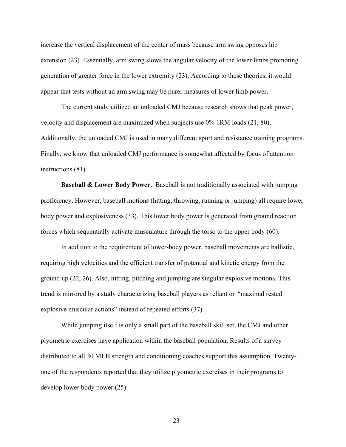increase the vertical displacement of the center of mass because arm swing opposes hip extension (23). Essentially, arm swing slows the angular velocity of the lower limbs promoting generation of greater force in the lower extremity (23). According to these theories, it would appear that tests without an arm swing may be purer measures of lower limb power.

The current study utilized an unloaded CMJ because research shows that peak power, velocity and displacement are maximized when subjects use 0% 1RM loads (21, 80). Additionally, the unloaded CMJ is used in many different sport and resistance training programs. Finally, we know that unloaded CMJ performance is somewhat affected by focus of attention instructions (81).

**Baseball & Lower Body Power.** Baseball is not traditionally associated with jumping proficiency. However, baseball motions (hitting, throwing, running or jumping) all require lower body power and explosiveness (33). This lower body power is generated from ground reaction forces which sequentially activate musculature through the torso to the upper body (60).

In addition to the requirement of lower-body power, baseball movements are ballistic, requiring high velocities and the efficient transfer of potential and kinetic energy from the ground up (22, 26). Also, hitting, pitching and jumping are singular explosive motions. This trend is mirrored by a study characterizing baseball players as reliant on "maximal rested explosive muscular actions" instead of repeated efforts (37).

While jumping itself is only a small part of the baseball skill set, the CMJ and other plyometric exercises have application within the baseball population. Results of a survey distributed to all 30 MLB strength and conditioning coaches support this assumption. Twentyone of the respondents reported that they utilize plyometric exercises in their programs to develop lower body power (25).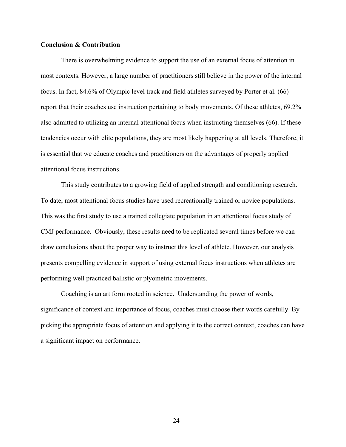#### **Conclusion & Contribution**

There is overwhelming evidence to support the use of an external focus of attention in most contexts. However, a large number of practitioners still believe in the power of the internal focus. In fact, 84.6% of Olympic level track and field athletes surveyed by Porter et al. (66) report that their coaches use instruction pertaining to body movements. Of these athletes, 69.2% also admitted to utilizing an internal attentional focus when instructing themselves (66). If these tendencies occur with elite populations, they are most likely happening at all levels. Therefore, it is essential that we educate coaches and practitioners on the advantages of properly applied attentional focus instructions.

This study contributes to a growing field of applied strength and conditioning research. To date, most attentional focus studies have used recreationally trained or novice populations. This was the first study to use a trained collegiate population in an attentional focus study of CMJ performance. Obviously, these results need to be replicated several times before we can draw conclusions about the proper way to instruct this level of athlete. However, our analysis presents compelling evidence in support of using external focus instructions when athletes are performing well practiced ballistic or plyometric movements.

Coaching is an art form rooted in science. Understanding the power of words, significance of context and importance of focus, coaches must choose their words carefully. By picking the appropriate focus of attention and applying it to the correct context, coaches can have a significant impact on performance.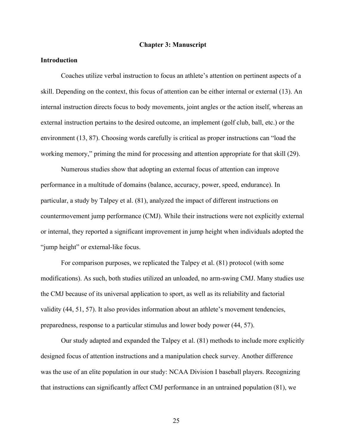#### **Chapter 3: Manuscript**

### **Introduction**

Coaches utilize verbal instruction to focus an athlete's attention on pertinent aspects of a skill. Depending on the context, this focus of attention can be either internal or external (13). An internal instruction directs focus to body movements, joint angles or the action itself, whereas an external instruction pertains to the desired outcome, an implement (golf club, ball, etc.) or the environment (13, 87). Choosing words carefully is critical as proper instructions can "load the working memory," priming the mind for processing and attention appropriate for that skill (29).

Numerous studies show that adopting an external focus of attention can improve performance in a multitude of domains (balance, accuracy, power, speed, endurance). In particular, a study by Talpey et al. (81), analyzed the impact of different instructions on countermovement jump performance (CMJ). While their instructions were not explicitly external or internal, they reported a significant improvement in jump height when individuals adopted the "jump height" or external-like focus.

For comparison purposes, we replicated the Talpey et al. (81) protocol (with some modifications). As such, both studies utilized an unloaded, no arm-swing CMJ. Many studies use the CMJ because of its universal application to sport, as well as its reliability and factorial validity (44, 51, 57). It also provides information about an athlete's movement tendencies, preparedness, response to a particular stimulus and lower body power (44, 57).

Our study adapted and expanded the Talpey et al. (81) methods to include more explicitly designed focus of attention instructions and a manipulation check survey. Another difference was the use of an elite population in our study: NCAA Division I baseball players. Recognizing that instructions can significantly affect CMJ performance in an untrained population (81), we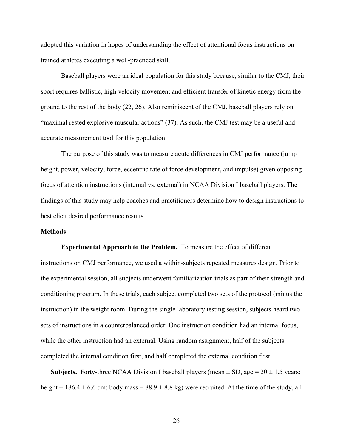adopted this variation in hopes of understanding the effect of attentional focus instructions on trained athletes executing a well-practiced skill.

Baseball players were an ideal population for this study because, similar to the CMJ, their sport requires ballistic, high velocity movement and efficient transfer of kinetic energy from the ground to the rest of the body (22, 26). Also reminiscent of the CMJ, baseball players rely on "maximal rested explosive muscular actions" (37). As such, the CMJ test may be a useful and accurate measurement tool for this population.

The purpose of this study was to measure acute differences in CMJ performance (jump height, power, velocity, force, eccentric rate of force development, and impulse) given opposing focus of attention instructions (internal vs. external) in NCAA Division I baseball players. The findings of this study may help coaches and practitioners determine how to design instructions to best elicit desired performance results.

#### **Methods**

**Experimental Approach to the Problem.** To measure the effect of different instructions on CMJ performance, we used a within-subjects repeated measures design. Prior to the experimental session, all subjects underwent familiarization trials as part of their strength and conditioning program. In these trials, each subject completed two sets of the protocol (minus the instruction) in the weight room. During the single laboratory testing session, subjects heard two sets of instructions in a counterbalanced order. One instruction condition had an internal focus, while the other instruction had an external. Using random assignment, half of the subjects completed the internal condition first, and half completed the external condition first.

**Subjects.** Forty-three NCAA Division I baseball players (mean  $\pm$  SD, age = 20  $\pm$  1.5 years; height = 186.4  $\pm$  6.6 cm; body mass = 88.9  $\pm$  8.8 kg) were recruited. At the time of the study, all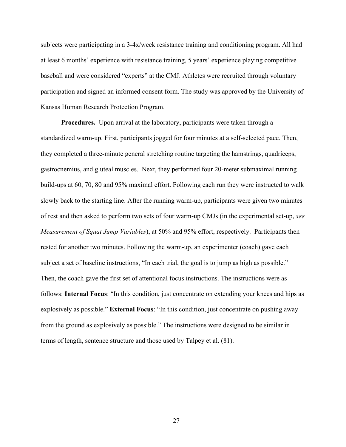subjects were participating in a 3-4x/week resistance training and conditioning program. All had at least 6 months' experience with resistance training, 5 years' experience playing competitive baseball and were considered "experts" at the CMJ. Athletes were recruited through voluntary participation and signed an informed consent form. The study was approved by the University of Kansas Human Research Protection Program.

**Procedures.** Upon arrival at the laboratory, participants were taken through a standardized warm-up. First, participants jogged for four minutes at a self-selected pace. Then, they completed a three-minute general stretching routine targeting the hamstrings, quadriceps, gastrocnemius, and gluteal muscles. Next, they performed four 20-meter submaximal running build-ups at 60, 70, 80 and 95% maximal effort. Following each run they were instructed to walk slowly back to the starting line. After the running warm-up, participants were given two minutes of rest and then asked to perform two sets of four warm-up CMJs (in the experimental set-up, *see Measurement of Squat Jump Variables*), at 50% and 95% effort, respectively. Participants then rested for another two minutes. Following the warm-up, an experimenter (coach) gave each subject a set of baseline instructions, "In each trial, the goal is to jump as high as possible." Then, the coach gave the first set of attentional focus instructions. The instructions were as follows: **Internal Focus**: "In this condition, just concentrate on extending your knees and hips as explosively as possible." **External Focus**: "In this condition, just concentrate on pushing away from the ground as explosively as possible." The instructions were designed to be similar in terms of length, sentence structure and those used by Talpey et al. (81).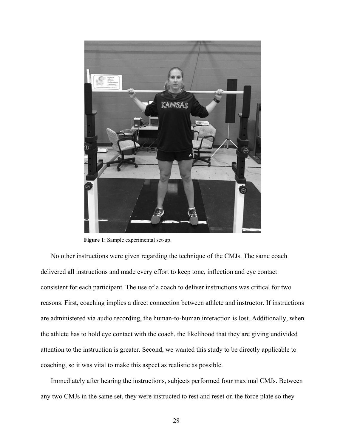

**Figure 1**: Sample experimental set-up.

No other instructions were given regarding the technique of the CMJs. The same coach delivered all instructions and made every effort to keep tone, inflection and eye contact consistent for each participant. The use of a coach to deliver instructions was critical for two reasons. First, coaching implies a direct connection between athlete and instructor. If instructions are administered via audio recording, the human-to-human interaction is lost. Additionally, when the athlete has to hold eye contact with the coach, the likelihood that they are giving undivided attention to the instruction is greater. Second, we wanted this study to be directly applicable to coaching, so it was vital to make this aspect as realistic as possible.

Immediately after hearing the instructions, subjects performed four maximal CMJs. Between any two CMJs in the same set, they were instructed to rest and reset on the force plate so they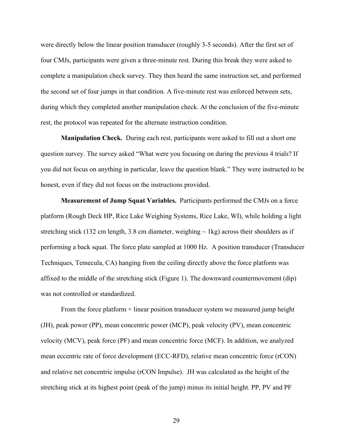were directly below the linear position transducer (roughly 3-5 seconds). After the first set of four CMJs, participants were given a three-minute rest. During this break they were asked to complete a manipulation check survey. They then heard the same instruction set, and performed the second set of four jumps in that condition. A five-minute rest was enforced between sets, during which they completed another manipulation check. At the conclusion of the five-minute rest, the protocol was repeated for the alternate instruction condition.

**Manipulation Check.** During each rest, participants were asked to fill out a short one question survey. The survey asked "What were you focusing on during the previous 4 trials? If you did not focus on anything in particular, leave the question blank." They were instructed to be honest, even if they did not focus on the instructions provided.

**Measurement of Jump Squat Variables.** Participants performed the CMJs on a force platform (Rough Deck HP, Rice Lake Weighing Systems, Rice Lake, WI), while holding a light stretching stick (132 cm length, 3.8 cm diameter, weighing  $\sim$  1kg) across their shoulders as if performing a back squat. The force plate sampled at 1000 Hz. A position transducer (Transducer Techniques, Temecula, CA) hanging from the ceiling directly above the force platform was affixed to the middle of the stretching stick (Figure 1). The downward countermovement (dip) was not controlled or standardized.

From the force platform + linear position transducer system we measured jump height (JH), peak power (PP), mean concentric power (MCP), peak velocity (PV), mean concentric velocity (MCV), peak force (PF) and mean concentric force (MCF). In addition, we analyzed mean eccentric rate of force development (ECC-RFD), relative mean concentric force (rCON) and relative net concentric impulse (rCON Impulse). JH was calculated as the height of the stretching stick at its highest point (peak of the jump) minus its initial height. PP, PV and PF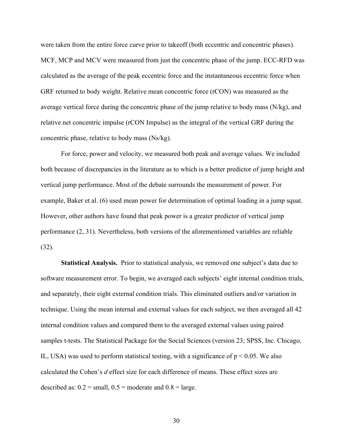were taken from the entire force curve prior to takeoff (both eccentric and concentric phases). MCF, MCP and MCV were measured from just the concentric phase of the jump. ECC-RFD was calculated as the average of the peak eccentric force and the instantaneous eccentric force when GRF returned to body weight. Relative mean concentric force (rCON) was measured as the average vertical force during the concentric phase of the jump relative to body mass  $(N/kg)$ , and relative net concentric impulse (rCON Impulse) as the integral of the vertical GRF during the concentric phase, relative to body mass (Ns/kg).

For force, power and velocity, we measured both peak and average values. We included both because of discrepancies in the literature as to which is a better predictor of jump height and vertical jump performance. Most of the debate surrounds the measurement of power. For example, Baker et al. (6) used mean power for determination of optimal loading in a jump squat. However, other authors have found that peak power is a greater predictor of vertical jump performance (2, 31). Nevertheless, both versions of the aforementioned variables are reliable (32).

**Statistical Analysis.** Prior to statistical analysis, we removed one subject's data due to software measurement error. To begin, we averaged each subjects' eight internal condition trials, and separately, their eight external condition trials. This eliminated outliers and/or variation in technique. Using the mean internal and external values for each subject, we then averaged all 42 internal condition values and compared them to the averaged external values using paired samples t-tests. The Statistical Package for the Social Sciences (version 23; SPSS, Inc. Chicago, IL, USA) was used to perform statistical testing, with a significance of  $p < 0.05$ . We also calculated the Cohen's *d* effect size for each difference of means. These effect sizes are described as:  $0.2$  = small,  $0.5$  = moderate and  $0.8$  = large.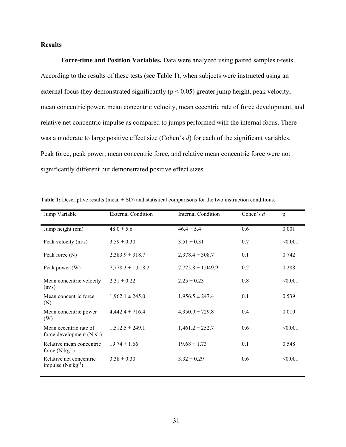#### **Results**

**Force-time and Position Variables.** Data were analyzed using paired samples t-tests. According to the results of these tests (see Table 1), when subjects were instructed using an external focus they demonstrated significantly ( $p < 0.05$ ) greater jump height, peak velocity, mean concentric power, mean concentric velocity, mean eccentric rate of force development, and relative net concentric impulse as compared to jumps performed with the internal focus. There was a moderate to large positive effect size (Cohen's *d*) for each of the significant variables. Peak force, peak power, mean concentric force, and relative mean concentric force were not significantly different but demonstrated positive effect sizes.

| <b>Jump Variable</b>                                     | <b>External Condition</b> | <b>Internal Condition</b> | Cohen's $d$ | $\mathbf{p}$ |
|----------------------------------------------------------|---------------------------|---------------------------|-------------|--------------|
| Jump height (cm)                                         | $48.0 \pm 5.6$            | $46.4 \pm 5.4$            | 0.6         | 0.001        |
| Peak velocity (m·s)                                      | $3.59 \pm 0.30$           | $3.51 \pm 0.31$           | 0.7         | < 0.001      |
| Peak force (N)                                           | $2,383.9 \pm 318.7$       | $2,378.4 \pm 308.7$       | 0.1         | 0.742        |
| Peak power (W)                                           | $7,778.3 \pm 1,018.2$     | $7,725.8 \pm 1,049.9$     | 0.2         | 0.288        |
| Mean concentric velocity<br>$(m \cdot s)$                | $2.31 \pm 0.22$           | $2.25 \pm 0.23$           | 0.8         | < 0.001      |
| Mean concentric force<br>(N)                             | $1,962.1 \pm 245.0$       | $1,956.5 \pm 247.4$       | 0.1         | 0.539        |
| Mean concentric power<br>(W)                             | $4,442.4 \pm 716.4$       | $4,350.9 \pm 729.8$       | 0.4         | 0.010        |
| Mean eccentric rate of<br>force development $(N's^{-1})$ | $1,512.5 \pm 249.1$       | $1,461.2 \pm 252.7$       | 0.6         | < 0.001      |
| Relative mean concentric<br>force $(N \cdot kg^{-1})$    | $19.74 \pm 1.66$          | $19.68 \pm 1.73$          | 0.1         | 0.548        |
| Relative net concentric<br>impulse $(Ns \cdot kg^{-1})$  | $3.38 \pm 0.30$           | $3.32 \pm 0.29$           | 0.6         | < 0.001      |

**Table 1:** Descriptive results (mean  $\pm$  SD) and statistical comparisons for the two instruction conditions.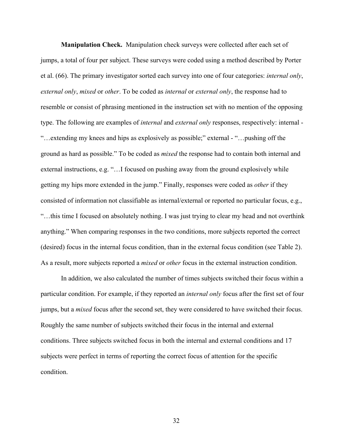**Manipulation Check.** Manipulation check surveys were collected after each set of jumps, a total of four per subject. These surveys were coded using a method described by Porter et al. (66). The primary investigator sorted each survey into one of four categories: *internal only*, *external only*, *mixed* or *other*. To be coded as *internal* or *external only*, the response had to resemble or consist of phrasing mentioned in the instruction set with no mention of the opposing type. The following are examples of *internal* and *external only* responses, respectively: internal - "…extending my knees and hips as explosively as possible;" external - "…pushing off the ground as hard as possible." To be coded as *mixed* the response had to contain both internal and external instructions, e.g. "…I focused on pushing away from the ground explosively while getting my hips more extended in the jump." Finally, responses were coded as *other* if they consisted of information not classifiable as internal/external or reported no particular focus, e.g., "…this time I focused on absolutely nothing. I was just trying to clear my head and not overthink anything." When comparing responses in the two conditions, more subjects reported the correct (desired) focus in the internal focus condition, than in the external focus condition (see Table 2). As a result, more subjects reported a *mixed* or *other* focus in the external instruction condition.

In addition, we also calculated the number of times subjects switched their focus within a particular condition. For example, if they reported an *internal only* focus after the first set of four jumps, but a *mixed* focus after the second set, they were considered to have switched their focus. Roughly the same number of subjects switched their focus in the internal and external conditions. Three subjects switched focus in both the internal and external conditions and 17 subjects were perfect in terms of reporting the correct focus of attention for the specific condition.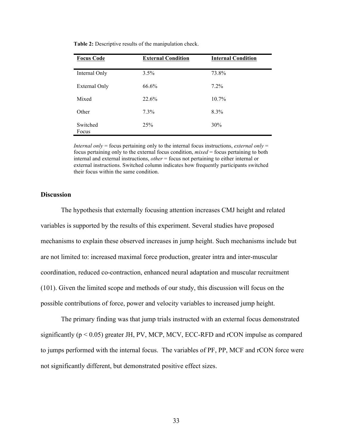| <b>Focus Code</b> | <b>External Condition</b> | <b>Internal Condition</b> |
|-------------------|---------------------------|---------------------------|
| Internal Only     | 3.5%                      | 73.8%                     |
| External Only     | 66.6%                     | $7.2\%$                   |
| Mixed             | 22.6%                     | $10.7\%$                  |
| Other             | $7.3\%$                   | 8.3%                      |
| Switched<br>Focus | 25 <sup>%</sup>           | 30%                       |

**Table 2:** Descriptive results of the manipulation check.

*Internal only* = focus pertaining only to the internal focus instructions, *external only* = focus pertaining only to the external focus condition, *mixed* = focus pertaining to both internal and external instructions, *other* = focus not pertaining to either internal or external instructions. Switched column indicates how frequently participants switched their focus within the same condition.

#### **Discussion**

The hypothesis that externally focusing attention increases CMJ height and related variables is supported by the results of this experiment. Several studies have proposed mechanisms to explain these observed increases in jump height. Such mechanisms include but are not limited to: increased maximal force production, greater intra and inter-muscular coordination, reduced co-contraction, enhanced neural adaptation and muscular recruitment (101). Given the limited scope and methods of our study, this discussion will focus on the possible contributions of force, power and velocity variables to increased jump height.

The primary finding was that jump trials instructed with an external focus demonstrated significantly ( $p < 0.05$ ) greater JH, PV, MCP, MCV, ECC-RFD and rCON impulse as compared to jumps performed with the internal focus. The variables of PF, PP, MCF and rCON force were not significantly different, but demonstrated positive effect sizes.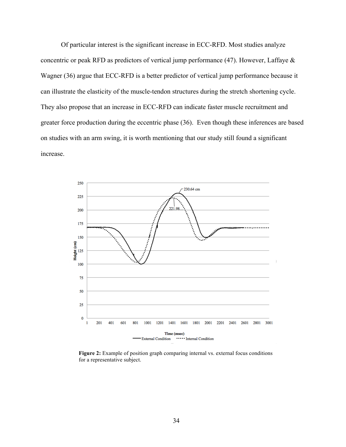Of particular interest is the significant increase in ECC-RFD. Most studies analyze concentric or peak RFD as predictors of vertical jump performance (47). However, Laffaye & Wagner (36) argue that ECC-RFD is a better predictor of vertical jump performance because it can illustrate the elasticity of the muscle-tendon structures during the stretch shortening cycle. They also propose that an increase in ECC-RFD can indicate faster muscle recruitment and greater force production during the eccentric phase (36). Even though these inferences are based on studies with an arm swing, it is worth mentioning that our study still found a significant increase.



Figure 2: Example of position graph comparing internal vs. external focus conditions for a representative subject.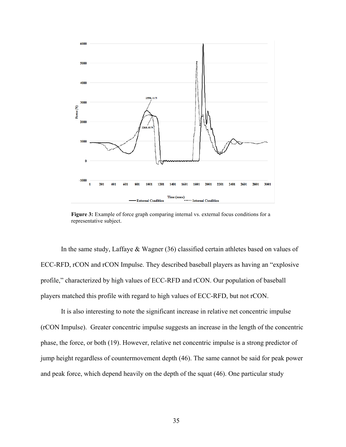

Figure 3: Example of force graph comparing internal vs. external focus conditions for a representative subject.

In the same study, Laffaye & Wagner (36) classified certain athletes based on values of ECC-RFD, rCON and rCON Impulse. They described baseball players as having an "explosive profile," characterized by high values of ECC-RFD and rCON. Our population of baseball players matched this profile with regard to high values of ECC-RFD, but not rCON.

It is also interesting to note the significant increase in relative net concentric impulse (rCON Impulse). Greater concentric impulse suggests an increase in the length of the concentric phase, the force, or both (19). However, relative net concentric impulse is a strong predictor of jump height regardless of countermovement depth (46). The same cannot be said for peak power and peak force, which depend heavily on the depth of the squat (46). One particular study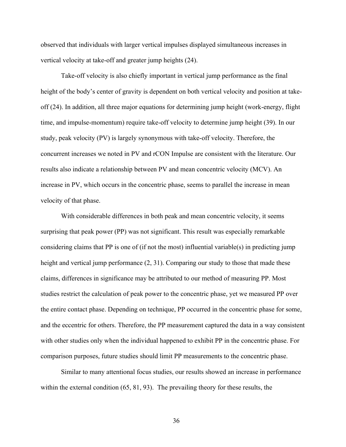observed that individuals with larger vertical impulses displayed simultaneous increases in vertical velocity at take-off and greater jump heights (24).

Take-off velocity is also chiefly important in vertical jump performance as the final height of the body's center of gravity is dependent on both vertical velocity and position at takeoff (24). In addition, all three major equations for determining jump height (work-energy, flight time, and impulse-momentum) require take-off velocity to determine jump height (39). In our study, peak velocity (PV) is largely synonymous with take-off velocity. Therefore, the concurrent increases we noted in PV and rCON Impulse are consistent with the literature. Our results also indicate a relationship between PV and mean concentric velocity (MCV). An increase in PV, which occurs in the concentric phase, seems to parallel the increase in mean velocity of that phase.

With considerable differences in both peak and mean concentric velocity, it seems surprising that peak power (PP) was not significant. This result was especially remarkable considering claims that PP is one of (if not the most) influential variable(s) in predicting jump height and vertical jump performance  $(2, 31)$ . Comparing our study to those that made these claims, differences in significance may be attributed to our method of measuring PP. Most studies restrict the calculation of peak power to the concentric phase, yet we measured PP over the entire contact phase. Depending on technique, PP occurred in the concentric phase for some, and the eccentric for others. Therefore, the PP measurement captured the data in a way consistent with other studies only when the individual happened to exhibit PP in the concentric phase. For comparison purposes, future studies should limit PP measurements to the concentric phase.

Similar to many attentional focus studies, our results showed an increase in performance within the external condition (65, 81, 93). The prevailing theory for these results, the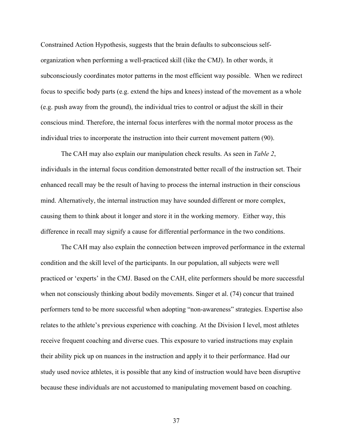Constrained Action Hypothesis, suggests that the brain defaults to subconscious selforganization when performing a well-practiced skill (like the CMJ). In other words, it subconsciously coordinates motor patterns in the most efficient way possible. When we redirect focus to specific body parts (e.g. extend the hips and knees) instead of the movement as a whole (e.g. push away from the ground), the individual tries to control or adjust the skill in their conscious mind. Therefore, the internal focus interferes with the normal motor process as the individual tries to incorporate the instruction into their current movement pattern (90).

The CAH may also explain our manipulation check results. As seen in *Table 2*, individuals in the internal focus condition demonstrated better recall of the instruction set. Their enhanced recall may be the result of having to process the internal instruction in their conscious mind. Alternatively, the internal instruction may have sounded different or more complex, causing them to think about it longer and store it in the working memory. Either way, this difference in recall may signify a cause for differential performance in the two conditions.

The CAH may also explain the connection between improved performance in the external condition and the skill level of the participants. In our population, all subjects were well practiced or 'experts' in the CMJ. Based on the CAH, elite performers should be more successful when not consciously thinking about bodily movements. Singer et al. (74) concur that trained performers tend to be more successful when adopting "non-awareness" strategies. Expertise also relates to the athlete's previous experience with coaching. At the Division I level, most athletes receive frequent coaching and diverse cues. This exposure to varied instructions may explain their ability pick up on nuances in the instruction and apply it to their performance. Had our study used novice athletes, it is possible that any kind of instruction would have been disruptive because these individuals are not accustomed to manipulating movement based on coaching.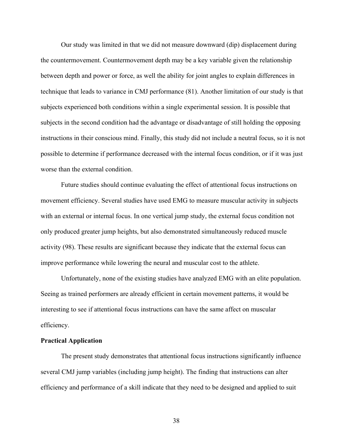Our study was limited in that we did not measure downward (dip) displacement during the countermovement. Countermovement depth may be a key variable given the relationship between depth and power or force, as well the ability for joint angles to explain differences in technique that leads to variance in CMJ performance (81). Another limitation of our study is that subjects experienced both conditions within a single experimental session. It is possible that subjects in the second condition had the advantage or disadvantage of still holding the opposing instructions in their conscious mind. Finally, this study did not include a neutral focus, so it is not possible to determine if performance decreased with the internal focus condition, or if it was just worse than the external condition.

Future studies should continue evaluating the effect of attentional focus instructions on movement efficiency. Several studies have used EMG to measure muscular activity in subjects with an external or internal focus. In one vertical jump study, the external focus condition not only produced greater jump heights, but also demonstrated simultaneously reduced muscle activity (98). These results are significant because they indicate that the external focus can improve performance while lowering the neural and muscular cost to the athlete.

Unfortunately, none of the existing studies have analyzed EMG with an elite population. Seeing as trained performers are already efficient in certain movement patterns, it would be interesting to see if attentional focus instructions can have the same affect on muscular efficiency.

#### **Practical Application**

The present study demonstrates that attentional focus instructions significantly influence several CMJ jump variables (including jump height). The finding that instructions can alter efficiency and performance of a skill indicate that they need to be designed and applied to suit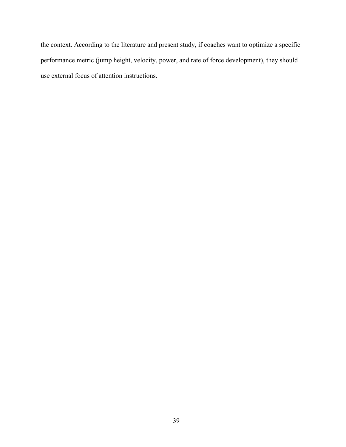the context. According to the literature and present study, if coaches want to optimize a specific performance metric (jump height, velocity, power, and rate of force development), they should use external focus of attention instructions.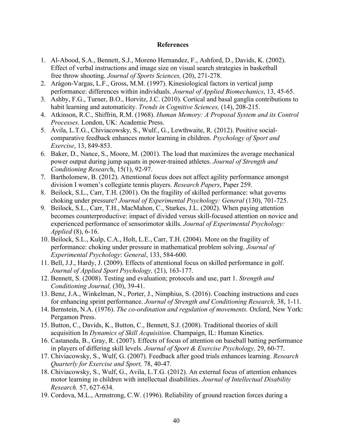#### **References**

- 1. Al-Abood, S.A., Bennett, S.J., Moreno Hernandez, F., Ashford, D., Davids, K. (2002). Effect of verbal instructions and image size on visual search strategies in basketball free throw shooting. *Journal of Sports Sciences,* (20), 271-278.
- 2. Arágon-Vargas, L.F., Gross, M.M. (1997). Kinesiological factors in vertical jump performance: differences within individuals. *Journal of Applied Biomechanics*, 13, 45-65.
- 3. Ashby, F.G., Turner, B.O., Horvitz, J.C. (2010). Cortical and basal ganglia contributions to habit learning and automaticity. *Trends in Cognitive Sciences,* (14), 208-215.
- 4. Atkinson, R.C., Shiffrin, R.M. (1968). *Human Memory: A Proposal System and its Control Processes.* London, UK: Academic Press.
- 5. Ávila, L.T.G., Chiviacowsky, S., Wulf., G., Lewthwaite, R. (2012). Positive socialcomparative feedback enhances motor learning in children. *Psychology of Sport and Exercise*, 13, 849-853.
- 6. Baker, D., Nance, S., Moore, M. (2001). The load that maximizes the average mechanical power output during jump squats in power-trained athletes. *Journal of Strength and Conditioning Researc*h, 15(1), 92-97.
- 7. Bartholomew, B. (2012). Attentional focus does not affect agility performance amongst division I women's collegiate tennis players. *Research Papers*, Paper 259.
- 8. Beilock, S.L., Carr, T.H. (2001). On the fragility of skilled performance: what governs choking under pressure? *Journal of Experimental Psychology: General* (130), 701-725.
- 9. Beilock, S.L., Carr, T.H., MacMahon, C., Starkes, J.L. (2002). When paying attention becomes counterproductive: impact of divided versus skill-focused attention on novice and experienced performance of sensorimotor skills. *Journal of Experimental Psychology: Applied* (8), 6-16.
- 10. Beilock, S.L., Kulp, C.A., Holt, L.E., Carr, T.H. (2004). More on the fragility of performance: choking under pressure in mathematical problem solving. *Journal of Experimental Psychology*: *General*, 133, 584-600.
- 11. Bell, J.J., Hardy, J. (2009). Effects of attentional focus on skilled performance in golf. *Journal of Applied Sport Psychology,* (21), 163-177.
- 12. Bennett, S. (2008). Testing and evaluation; protocols and use, part 1. *Strength and Conditioning Journal,* (30), 39-41.
- 13. Benz, J.A., Winkelman, N., Porter, J., Nimphius, S. (2016). Coaching instructions and cues for enhancing sprint performance. *Journal of Strength and Conditioning Research,* 38, 1-11.
- 14. Bernstein, N.A. (1976). *The co-ordination and regulation of movements.* Oxford, New York: Pergamon Press.
- 15. Button, C., Davids, K., Button, C., Bennett, S.J. (2008). Traditional theories of skill acquisition In *Dynamics of Skill Acquisition*. Champaign, IL: Human Kinetics.
- 16. Castaneda, B., Gray, R. (2007). Effects of focus of attention on baseball batting performance in players of differing skill levels. *Journal of Sport & Exercise Psychology,* 29, 60-77.
- 17. Chiviacowsky, S., Wulf, G. (2007). Feedback after good trials enhances learning. *Research Quarterly for Exercise and Sport,* 78, 40-47.
- 18. Chiviacowsky, S., Wulf, G., Avila, L.T.G. (2012). An external focus of attention enhances motor learning in children with intellectual disabilities. *Journal of Intellectual Disability Research.* 57, 627-634.
- 19. Cordova, M.L., Armstrong, C.W. (1996). Reliability of ground reaction forces during a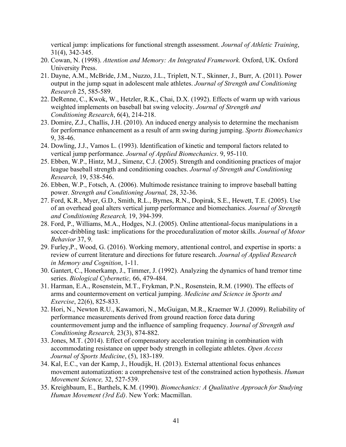vertical jump: implications for functional strength assessment. *Journal of Athletic Training*, 31(4), 342-345.

- 20. Cowan, N. (1998). *Attention and Memory: An Integrated Framework.* Oxford, UK. Oxford University Press.
- 21. Dayne, A.M., McBride, J.M., Nuzzo, J.L., Triplett, N.T., Skinner, J., Burr, A. (2011). Power output in the jump squat in adolescent male athletes. *Journal of Strength and Conditioning Research* 25, 585-589.
- 22. DeRenne, C., Kwok, W., Hetzler, R.K., Chai, D.X. (1992). Effects of warm up with various weighted implements on baseball bat swing velocity. *Journal of Strength and Conditioning Research*, 6(4), 214-218.
- 23. Domire, Z.J., Challis, J.H. (2010). An induced energy analysis to determine the mechanism for performance enhancement as a result of arm swing during jumping. *Sports Biomechanics* 9, 38-46.
- 24. Dowling, J.J., Vamos L. (1993). Identification of kinetic and temporal factors related to vertical jump performance. *Journal of Applied Biomechanics*. 9, 95-110.
- 25. Ebben, W.P., Hintz, M.J., Simenz, C.J. (2005). Strength and conditioning practices of major league baseball strength and conditioning coaches. *Journal of Strength and Conditioning Research,* 19, 538-546.
- 26. Ebben, W.P., Fotsch, A. (2006). Multimode resistance training to improve baseball batting power. *Strength and Conditioning Journal,* 28, 32-36.
- 27. Ford, K.R., Myer, G.D., Smith, R.L., Byrnes, R.N., Dopirak, S.E., Hewett, T.E. (2005). Use of an overhead goal alters vertical jump performance and biomechanics. *Journal of Strength and Conditioning Research,* 19, 394-399.
- 28. Ford, P., Williams, M.A., Hodges, N.J. (2005). Online attentional-focus manipulations in a soccer-dribbling task: implications for the proceduralization of motor skills. *Journal of Motor Behavior* 37, 9.
- 29. Furley,P., Wood, G. (2016). Working memory, attentional control, and expertise in sports: a review of current literature and directions for future research. *Journal of Applied Research in Memory and Cognition*, 1-11.
- 30. Gantert, C., Honerkamp, J., Timmer, J. (1992). Analyzing the dynamics of hand tremor time series. *Biological Cybernetic,* 66, 479-484.
- 31. Harman, E.A., Rosenstein, M.T., Frykman, P.N., Rosenstein, R.M. (1990). The effects of arms and countermovement on vertical jumping. *Medicine and Science in Sports and Exercise*, 22(6), 825-833.
- 32. Hori, N., Newton R.U., Kawamori, N., McGuigan, M.R., Kraemer W.J. (2009). Reliability of performance measurements derived from ground reaction force data during countermovement jump and the influence of sampling frequency. J*ournal of Strength and Conditioning Research,* 23(3), 874-882.
- 33. Jones, M.T. (2014). Effect of compensatory acceleration training in combination with accommodating resistance on upper body strength in collegiate athletes. *Open Access Journal of Sports Medicine*, (5), 183-189.
- 34. Kal, E.C., van der Kamp, J., Houdijk, H. (2013). External attentional focus enhances movement automatization: a comprehensive test of the constrained action hypothesis. *Human Movement Science,* 32, 527-539.
- 35. Kreighbaum, E., Barthels, K.M. (1990). *Biomechanics: A Qualitative Approach for Studying Human Movement (3rd Ed)*. New York: Macmillan.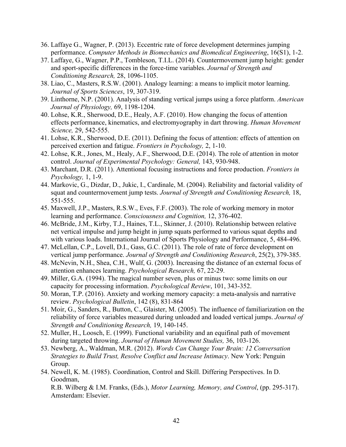- 36. Laffaye G., Wagner, P. (2013). Eccentric rate of force development determines jumping performance. *Computer Methods in Biomechanics and Biomedical Engineering*, 16(S1), 1-2.
- 37. Laffaye, G., Wagner, P.P., Tombleson, T.I.L. (2014). Countermovement jump height: gender and sport-specific differences in the force-time variables. *Journal of Strength and Conditioning Research,* 28, 1096-1105.
- 38. Liao, C., Masters, R.S.W. (2001). Analogy learning: a means to implicit motor learning. *Journal of Sports Sciences*, 19, 307-319.
- 39. Linthorne, N.P. (2001). Analysis of standing vertical jumps using a force platform. *American Journal of Physiology,* 69, 1198-1204.
- 40. Lohse, K.R., Sherwood, D.E., Healy, A.F. (2010). How changing the focus of attention effects performance, kinematics, and electromyography in dart throwing. *Human Movement Science,* 29, 542-555.
- 41. Lohse, K.R., Sherwood, D.E. (2011). Defining the focus of attention: effects of attention on perceived exertion and fatigue. *Frontiers in Psychology,* 2, 1-10.
- 42. Lohse, K.R., Jones, M., Healy, A.F., Sherwood, D.E. (2014). The role of attention in motor control. *Journal of Experimental Psychology: General,* 143, 930-948.
- 43. Marchant, D.R. (2011). Attentional focusing instructions and force production. *Frontiers in Psychology,* 1, 1-9.
- 44. Markovic, G., Dizdar, D., Jukic, I., Cardinale, M. (2004). Reliability and factorial validity of squat and countermovement jump tests. *Journal of Strength and Conditioning Research,* 18, 551-555.
- 45. Maxwell, J.P., Masters, R.S.W., Eves, F.F. (2003). The role of working memory in motor learning and performance. *Consciousness and Cognition,* 12, 376-402.
- 46. McBride, J.M., Kirby, T.J., Haines, T.L., Skinner, J. (2010). Relationship between relative net vertical impulse and jump height in jump squats performed to various squat depths and with various loads. International Journal of Sports Physiology and Performance, 5, 484-496.
- 47. McLellan, C.P., Lovell, D.I., Gass, G.C. (2011). The role of rate of force development on vertical jump performance. *Journal of Strength and Conditioning Research*, 25(2), 379-385.
- 48. McNevin, N.H., Shea, C.H., Wulf, G. (2003). Increasing the distance of an external focus of attention enhances learning. *Psychological Research,* 67, 22-29.
- 49. Miller, G.A. (1994). The magical number seven, plus or minus two: some limits on our capacity for processing information. *Psychological Review*, 101, 343-352.
- 50. Moran, T.P. (2016). Anxiety and working memory capacity: a meta-analysis and narrative review. *Psychological Bulletin*, 142 (8), 831-864
- 51. Moir, G., Sanders, R., Button, C., Glaister, M. (2005). The influence of familiarization on the reliability of force variables measured during unloaded and loaded vertical jumps. *Journal of Strength and Conditioning Research,* 19, 140-145.
- 52. Muller, H., Loosch, E. (1999). Functional variability and an equifinal path of movement during targeted throwing. *Journal of Human Movement Studies,* 36, 103-126.
- 53. Newberg, A., Waldman, M.R. (2012). *Words Can Change Your Brain: 12 Conversation Strategies to Build Trust, Resolve Conflict and Increase Intimacy*. New York: Penguin Group.
- 54. Newell, K. M. (1985). Coordination, Control and Skill. Differing Perspectives. In D. Goodman, R.B. Wilberg & I.M. Franks, (Eds.), *Motor Learning, Memory, and Control*, (pp. 295-317). Amsterdam: Elsevier.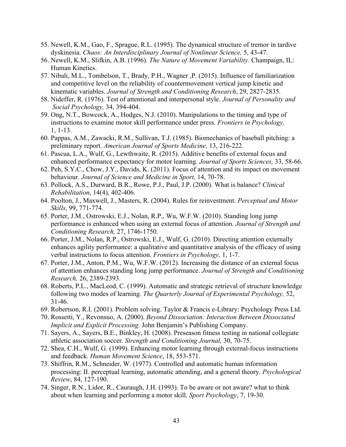- 55. Newell, K.M., Gao, F., Sprague, R.L. (1995). The dynamical structure of tremor in tardive dyskinesia. *Chaos: An Interdisciplinary Journal of Nonlinear Science,* 5, 43-47.
- 56. Newell, K.M., Slifkin, A.B. (1996). *The Nature of Movement Variability.* Champaign, IL: Human Kinetics.
- 57. Nibali, M.L., Tombelson, T., Brady, P.H., Wagner ,P. (2015). Influence of familiarization and competitive level on the reliability of countermovement vertical jump kinetic and kinematic variables. *Journal of Strength and Conditioning Research*, 29, 2827-2835.
- 58. Nideffer, R. (1976). Test of attentional and interpersonal style. *Journal of Personality and Social Psychology,* 34, 394-404.
- 59. Ong, N.T., Bowcock, A., Hodges, N.J. (2010). Manipulations to the timing and type of instructions to examine motor skill performance under press. *Frontiers in Psychology,* 1, 1-13.
- 60. Pappas, A.M., Zawacki, R.M., Sullivan, T.J. (1985). Biomechanics of baseball pitching: a preliminary report. *American Journal of Sports Medicine,* 13, 216-222.
- 61. Pascua, L.A., Wulf, G., Lewthwaite, R. (2015). Additive benefits of external focus and enhanced performance expectancy for motor learning. *Journal of Sports Sciences,* 33, 58-66.
- 62. Peh, S.Y.C., Chow, J.Y., Davids, K. (2011). Focus of attention and its impact on movement behaviour. *Journal of Science and Medicine in Sport,* 14, 70-78.
- 63. Pollock, A.S., Durward, B.R., Rowe, P.J., Paul, J.P. (2000). What is balance? *Clinical Rehabilitation*, 14(4), 402-406.
- 64. Poolton, J., Maxwell, J., Masters, R. (2004). Rules for reinvestment. *Perceptual and Motor Skills*, 99, 771-774.
- 65. Porter, J.M., Ostrowski, E.J., Nolan, R.P., Wu, W.F.W. (2010). Standing long jump performance is enhanced when using an external focus of attention. *Journal of Strength and Conditioning Research,* 27, 1746-1750.
- 66. Porter, J.M., Nolan, R.P., Ostrowski, E.J., Wulf, G. (2010). Directing attention externally enhances agility performance: a qualitative and quantitative analysis of the efficacy of using verbal instructions to focus attention. *Frontiers in Psychology,* 1, 1-7.
- 67. Porter, J.M., Anton, P.M., Wu, W.F.W. (2012). Increasing the distance of an external focus of attention enhances standing long jump performance. *Journal of Strength and Conditioning Research,* 26, 2389-2393.
- 68. Roberts, P.L., MacLeod, C. (1999). Automatic and strategic retrieval of structure knowledge following two modes of learning. *The Quarterly Journal of Experimental Psychology,* 52, 31-46.
- 69. Robertson, R.I. (2001). Problem solving. Taylor & Francis e-Library: Psychology Press Ltd.
- 70. Rossetti, Y., Revonsuo, A. (2000). *Beyond Dissociation: Interaction Between Dissociated Implicit and Explicit Processing.* John Benjamin's Publishing Company.
- 71. Sayers, A., Sayers, B.E., Binkley, H. (2008). Preseason fitness testing in national collegiate athletic association soccer. *Strength and Conditioning Journal,* 30, 70-75.
- 72. Shea, C.H., Wulf, G. (1999). Enhancing motor learning through external-focus instructions and feedback. *Human Movement Science*, 18, 553-571.
- 73. Shiffrin, R.M., Schneider, W. (1977). Controlled and automatic human information processing: II. perceptual learning, automatic attending, and a general theory. *Psychological Review*, 84, 127-190.
- 74. Singer, R.N., Lidor, R., Cauraugh, J.H. (1993). To be aware or not aware? what to think about when learning and performing a motor skill. *Sport Psychology*, 7, 19-30.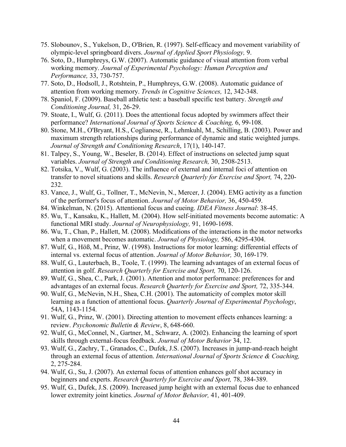- 75. Slobounov, S., Yukelson, D., O'Brien, R. (1997). Self-efficacy and movement variability of olympic-level springboard divers. *Journal of Applied Sport Physiology,* 9.
- 76. Soto, D., Humphreys, G.W. (2007). Automatic guidance of visual attention from verbal working memory. *Journal of Experimental Psychology: Human Perception and Performance,* 33, 730-757.
- 77. Soto, D., Hodsoll, J., Rotshtein, P., Humphreys, G.W. (2008). Automatic guidance of attention from working memory. *Trends in Cognitive Sciences,* 12, 342-348.
- 78. Spaniol, F. (2009). Baseball athletic test: a baseball specific test battery. *Strength and Conditioning Journal,* 31, 26-29.
- 79. Stoate, I., Wulf, G. (2011). Does the attentional focus adopted by swimmers affect their performance? *International Journal of Sports Science & Coaching,* 6, 99-108.
- 80. Stone, M.H., O'Bryant, H.S., Coglianese, R., Lehmkuhl, M., Schilling, B. (2003). Power and maximum strength relationships during performance of dynamic and static weighted jumps. *Journal of Strength and Conditioning Research*, 17(1), 140-147.
- 81. Talpey, S., Young, W., Beseler, B. (2014). Effect of instructions on selected jump squat variables. *Journal of Strength and Conditioning Research,* 30, 2508-2513.
- 82. Totsika, V., Wulf, G. (2003). The influence of external and internal foci of attention on transfer to novel situations and skills. *Research Quarterly for Exercise and Sport,* 74, 220- 232.
- 83. Vance, J., Wulf, G., Tollner, T., McNevin, N., Mercer, J. (2004). EMG activity as a function of the performer's focus of attention. *Journal of Motor Behavior,* 36, 450-459.
- 84. Winkelman, N. (2015). Attentional focus and cueing. *IDEA Fitness Journal*: 38-45.
- 85. Wu, T., Kansaku, K., Hallett, M. (2004). How self-initiated movements become automatic: A functional MRI study. *Journal of Neurophysiology,* 91, 1690-1698.
- 86. Wu, T., Chan, P., Hallett, M. (2008). Modifications of the interactions in the motor networks when a movement becomes automatic. *Journal of Physiology,* 586, 4295-4304.
- 87. Wulf, G., Höß, M., Prinz, W. (1998). Instructions for motor learning: differential effects of internal vs. external focus of attention. *Journal of Motor Behavior,* 30, 169-179.
- 88. Wulf, G., Lauterbach, B., Toole, T. (1999). The learning advantages of an external focus of attention in golf. *Research Quarterly for Exercise and Sport,* 70, 120-126.
- 89. Wulf, G., Shea, C., Park, J. (2001). Attention and motor performance: preferences for and advantages of an external focus. *Research Quarterly for Exercise and Sport,* 72, 335-344.
- 90. Wulf, G., McNevin, N.H., Shea, C.H. (2001). The automaticity of complex motor skill learning as a function of attentional focus. *Quarterly Journal of Experimental Psychology*, 54A, 1143-1154.
- 91. Wulf, G., Prinz, W. (2001). Directing attention to movement effects enhances learning: a review. *Psychonomic Bulletin & Review*, 8, 648-660.
- 92. Wulf, G., McConnel, N., Gartner, M., Schwarz, A. (2002). Enhancing the learning of sport skills through external-focus feedback. *Journal of Motor Behavior* 34, 12.
- 93. Wulf, G., Zachry, T., Granados, C., Dufek, J.S. (2007). Increases in jump-and-reach height through an external focus of attention. *International Journal of Sports Science & Coaching,* 2, 275-284.
- 94. Wulf, G., Su, J. (2007). An external focus of attention enhances golf shot accuracy in beginners and experts. *Research Quarterly for Exercise and Sport,* 78, 384-389.
- 95. Wulf, G., Dufek, J.S. (2009). Increased jump height with an external focus due to enhanced lower extremity joint kinetics. *Journal of Motor Behavior,* 41, 401-409.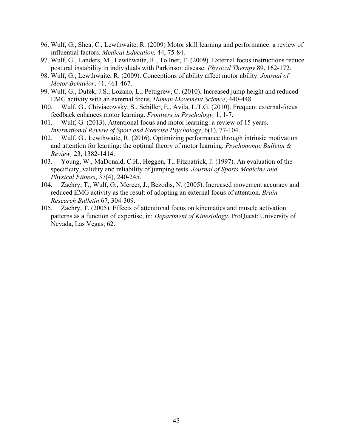- 96. Wulf, G., Shea, C., Lewthwaite, R. (2009) Motor skill learning and performance: a review of influential factors. *Medical Education,* 44, 75-84.
- 97. Wulf, G., Landers, M., Lewthwaite, R., Tollner, T. (2009). External focus instructions reduce postural instability in individuals with Parkinson disease. *Physical Therapy* 89, 162-172.
- 98. Wulf, G., Lewthwaite, R. (2009). Conceptions of ability affect motor ability. *Journal of Motor Behavior*, 41, 461-467.
- 99. Wulf, G., Dufek, J.S., Lozano, L., Pettigrew, C. (2010). Increased jump height and reduced EMG activity with an external focus. *Human Movement Science*, 440-448.
- 100. Wulf, G., Chiviacowsky, S., Schiller, E., Avila, L.T.G. (2010). Frequent external-focus feedback enhances motor learning. *Frontiers in Psychology,* 1, 1-7.
- 101. Wulf, G. (2013). Attentional focus and motor learning: a review of 15 years. *International Review of Sport and Exercise Psychology*, 6(1), 77-104.
- 102. Wulf, G., Lewthwaite, R. (2016). Optimizing performance through intrinsic motivation and attention for learning: the optimal theory of motor learning. *Psychonomic Bulletin & Review,* 23, 1382-1414.
- 103. Young, W., MaDonald, C.H., Heggen, T., Fitzpatrick, J. (1997). An evaluation of the specificity, validity and reliability of jumping tests. *Journal of Sports Medicine and Physical Fitness*, 37(4), 240-245.
- 104. Zachry, T., Wulf, G., Mercer, J., Bezodis, N. (2005). Increased movement accuracy and reduced EMG activity as the result of adopting an external focus of attention. *Brain Research Bulletin* 67, 304-309.
- 105. Zachry, T. (2005). Effects of attentional focus on kinematics and muscle activation patterns as a function of expertise, in: *Department of Kinesiology*. ProQuest: University of Nevada, Las Vegas, 62.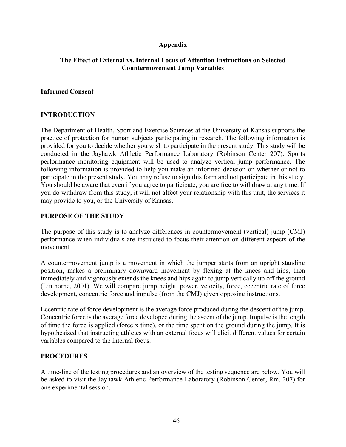# **Appendix**

# **The Effect of External vs. Internal Focus of Attention Instructions on Selected Countermovement Jump Variables**

# **Informed Consent**

# **INTRODUCTION**

The Department of Health, Sport and Exercise Sciences at the University of Kansas supports the practice of protection for human subjects participating in research. The following information is provided for you to decide whether you wish to participate in the present study. This study will be conducted in the Jayhawk Athletic Performance Laboratory (Robinson Center 207). Sports performance monitoring equipment will be used to analyze vertical jump performance. The following information is provided to help you make an informed decision on whether or not to participate in the present study. You may refuse to sign this form and not participate in this study. You should be aware that even if you agree to participate, you are free to withdraw at any time. If you do withdraw from this study, it will not affect your relationship with this unit, the services it may provide to you, or the University of Kansas.

### **PURPOSE OF THE STUDY**

The purpose of this study is to analyze differences in countermovement (vertical) jump (CMJ) performance when individuals are instructed to focus their attention on different aspects of the movement.

A countermovement jump is a movement in which the jumper starts from an upright standing position, makes a preliminary downward movement by flexing at the knees and hips, then immediately and vigorously extends the knees and hips again to jump vertically up off the ground (Linthorne, 2001). We will compare jump height, power, velocity, force, eccentric rate of force development, concentric force and impulse (from the CMJ) given opposing instructions.

Eccentric rate of force development is the average force produced during the descent of the jump. Concentric force is the average force developed during the ascent of the jump. Impulse is the length of time the force is applied (force x time), or the time spent on the ground during the jump. It is hypothesized that instructing athletes with an external focus will elicit different values for certain variables compared to the internal focus.

### **PROCEDURES**

A time-line of the testing procedures and an overview of the testing sequence are below. You will be asked to visit the Jayhawk Athletic Performance Laboratory (Robinson Center, Rm. 207) for one experimental session.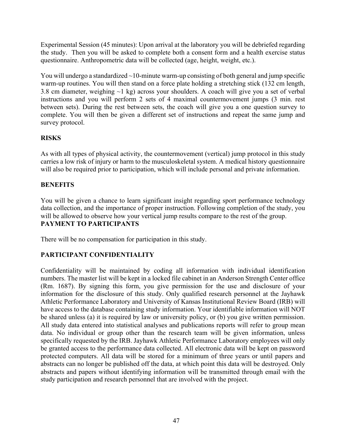Experimental Session (45 minutes): Upon arrival at the laboratory you will be debriefed regarding the study. Then you will be asked to complete both a consent form and a health exercise status questionnaire. Anthropometric data will be collected (age, height, weight, etc.).

You will undergo a standardized  $\sim$ 10-minute warm-up consisting of both general and jump specific warm-up routines. You will then stand on a force plate holding a stretching stick (132 cm length, 3.8 cm diameter, weighing  $\sim$ 1 kg) across your shoulders. A coach will give you a set of verbal instructions and you will perform 2 sets of 4 maximal countermovement jumps (3 min. rest between sets). During the rest between sets, the coach will give you a one question survey to complete. You will then be given a different set of instructions and repeat the same jump and survey protocol.

# **RISKS**

As with all types of physical activity, the countermovement (vertical) jump protocol in this study carries a low risk of injury or harm to the musculoskeletal system. A medical history questionnaire will also be required prior to participation, which will include personal and private information.

# **BENEFITS**

You will be given a chance to learn significant insight regarding sport performance technology data collection, and the importance of proper instruction. Following completion of the study, you will be allowed to observe how your vertical jump results compare to the rest of the group. **PAYMENT TO PARTICIPANTS** 

There will be no compensation for participation in this study.

# **PARTICIPANT CONFIDENTIALITY**

Confidentiality will be maintained by coding all information with individual identification numbers. The master list will be kept in a locked file cabinet in an Anderson Strength Center office (Rm. 1687). By signing this form, you give permission for the use and disclosure of your information for the disclosure of this study. Only qualified research personnel at the Jayhawk Athletic Performance Laboratory and University of Kansas Institutional Review Board (IRB) will have access to the database containing study information. Your identifiable information will NOT be shared unless (a) it is required by law or university policy, or (b) you give written permission. All study data entered into statistical analyses and publications reports will refer to group mean data. No individual or group other than the research team will be given information, unless specifically requested by the IRB. Jayhawk Athletic Performance Laboratory employees will only be granted access to the performance data collected. All electronic data will be kept on password protected computers. All data will be stored for a minimum of three years or until papers and abstracts can no longer be published off the data, at which point this data will be destroyed. Only abstracts and papers without identifying information will be transmitted through email with the study participation and research personnel that are involved with the project.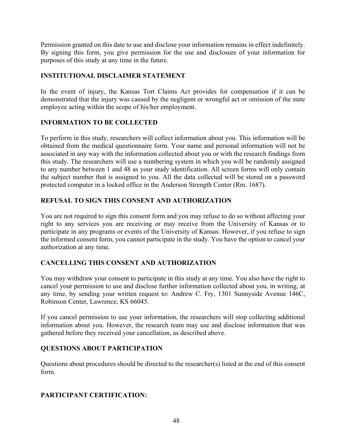Permission granted on this date to use and disclose your information remains in effect indefinitely. By signing this form, you give permission for the use and disclosure of your information for purposes of this study at any time in the future.

# **INSTITUTIONAL DISCLAIMER STATEMENT**

In the event of injury, the Kansas Tort Claims Act provides for compensation if it can be demonstrated that the injury was caused by the negligent or wrongful act or omission of the state employee acting within the scope of his/her employment.

# **INFORMATION TO BE COLLECTED**

To perform in this study, researchers will collect information about you. This information will be obtained from the medical questionnaire form. Your name and personal information will not be associated in any way with the information collected about you or with the research findings from this study. The researchers will use a numbering system in which you will be randomly assigned to any number between 1 and 48 as your study identification. All screen forms will only contain the subject number that is assigned to you. All the data collected will be stored on a password protected computer in a locked office in the Anderson Strength Center (Rm. 1687).

# **REFUSAL TO SIGN THIS CONSENT AND AUTHORIZATION**

You are not required to sign this consent form and you may refuse to do so without affecting your right to any services you are receiving or may receive from the University of Kansas or to participate in any programs or events of the University of Kansas. However, if you refuse to sign the informed consent form, you cannot participate in the study. You have the option to cancel your authorization at any time.

# **CANCELLING THIS CONSENT AND AUTHORIZATION**

You may withdraw your consent to participate in this study at any time. You also have the right to cancel your permission to use and disclose further information collected about you, in writing, at any time, by sending your written request to: Andrew C. Fry, 1301 Sunnyside Avenue 146C, Robinson Center, Lawrence, KS 66045.

If you cancel permission to use your information, the researchers will stop collecting additional information about you. However, the research team may use and disclose information that was gathered before they received your cancellation, as described above.

# **QUESTIONS ABOUT PARTICIPATION**

Questions about procedures should be directed to the researcher(s) listed at the end of this consent form.

# **PARTICIPANT CERTIFICATION:**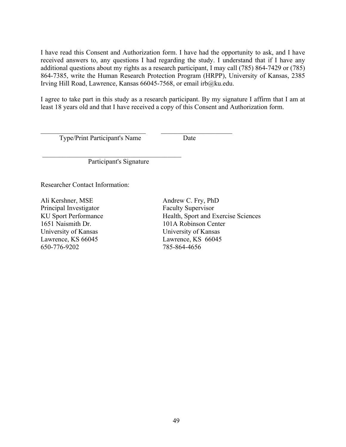I have read this Consent and Authorization form. I have had the opportunity to ask, and I have received answers to, any questions I had regarding the study. I understand that if I have any additional questions about my rights as a research participant, I may call (785) 864-7429 or (785) 864-7385, write the Human Research Protection Program (HRPP), University of Kansas, 2385 Irving Hill Road, Lawrence, Kansas 66045-7568, or email irb@ku.edu.

I agree to take part in this study as a research participant. By my signature I affirm that I am at least 18 years old and that I have received a copy of this Consent and Authorization form.

Type/Print Participant's Name Date

Participant's Signature

 $\mathcal{L}_\text{max}$ 

 $\mathcal{L}_\text{max}$  , and the contribution of the contribution of  $\mathcal{L}_\text{max}$ 

Researcher Contact Information:

Ali Kershner, MSE Andrew C. Fry, PhD Principal Investigator Faculty Supervisor 1651 Naismith Dr. 101A Robinson Center University of Kansas University of Kansas Lawrence, KS 66045 Lawrence, KS 66045 650-776-9202 785-864-4656

KU Sport Performance Health, Sport and Exercise Sciences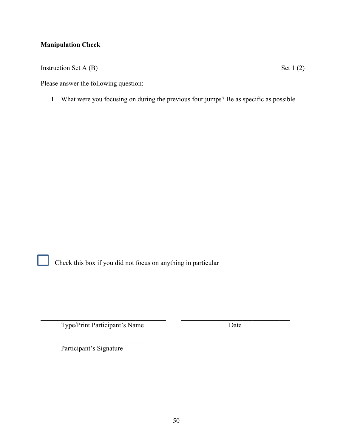# **Manipulation Check**

Instruction Set A  $(B)$  Set 1 (2)

Please answer the following question:

1. What were you focusing on during the previous four jumps? Be as specific as possible.



Check this box if you did not focus on anything in particular

Type/Print Participant's Name Date

Participant's Signature

 $\mathcal{L}_\text{max}$  , and the set of the set of the set of the set of the set of the set of the set of the set of the set of the set of the set of the set of the set of the set of the set of the set of the set of the set of the

 $\mathcal{L}_\text{max}$  , and the contribution of the contribution of the contribution of the contribution of the contribution of the contribution of the contribution of the contribution of the contribution of the contribution of t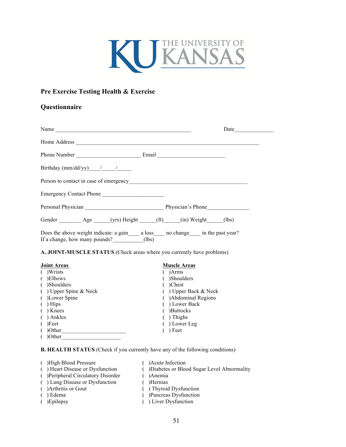

# **Pre Exercise Testing Health & Exercise**

#### **Questionnaire**

|                                                                                                                                                                                                                                | Date <u>in the set of the set of the set of the set of the set of the set of the set of the set of the set of the set of the set of the set of the set of the set of the set of the set of the set of the set of the set of the </u> |
|--------------------------------------------------------------------------------------------------------------------------------------------------------------------------------------------------------------------------------|--------------------------------------------------------------------------------------------------------------------------------------------------------------------------------------------------------------------------------------|
|                                                                                                                                                                                                                                |                                                                                                                                                                                                                                      |
|                                                                                                                                                                                                                                |                                                                                                                                                                                                                                      |
| Birthday (mm/dd/yy) $\frac{1}{2}$                                                                                                                                                                                              |                                                                                                                                                                                                                                      |
| Person to contact in case of emergency                                                                                                                                                                                         |                                                                                                                                                                                                                                      |
| Emergency Contact Phone                                                                                                                                                                                                        |                                                                                                                                                                                                                                      |
| Personal Physician Physician Physician Physician Physician Physician Physician Physician Physician Physician Physician Physician Physician Physician Physician Physician Physician Physician Physician Physician Physician Phy |                                                                                                                                                                                                                                      |
| Gender Age (yrs) Height (ft) (in) Weight (lbs)                                                                                                                                                                                 |                                                                                                                                                                                                                                      |
| Does the above weight indicate: a gain a loss no change in the past year?<br>If a change, how many pounds? (lbs)                                                                                                               |                                                                                                                                                                                                                                      |

**A. JOINT-MUSCLE STATUS** (Check areas where you currently have problems)

| <b>Joint Areas</b>       | <b>Muscle Areas</b>             |  |
|--------------------------|---------------------------------|--|
| )Wrists                  | )Arms                           |  |
| Elbows)                  | )Shoulders                      |  |
| )Shoulders               | )Chest                          |  |
| $( )$ Upper Spine & Neck | $\rightarrow$ Upper Back & Neck |  |
| Lower Spine              | Abdominal Regions               |  |
| Hips                     | ) Lower Back                    |  |
| Knees                    | <b>Buttocks</b>                 |  |
| ) Ankles                 | ) Thighs                        |  |
| )Feet                    | ) Lower Leg                     |  |
| )Other                   | ) Feet                          |  |
| (1)                      |                                 |  |

 $($  )Other

**B. HEALTH STATUS** (Check if you currently have any of the following conditions)

- 
- 
- ( ) High Blood Pressure ( ) Acute Infection<br>
( ) Heart Disease or Dysfunction ( ) Diabetes or Bloo
- ( )Peripheral Circulatory Disorder ( )Anemia<br>( ) Lung Disease or Dysfunction ( )Hernias
- ( ) Lung Disease or Dysfunction<br>( )Arthritis or Gout
	-
- 
- 
- 
- ( )<br>Diabetes or Blood Sugar Level Abnormality ( )<br>Anemia
- 
- 
- 
- ( ) Arthritis or Gout ( ) Thyroid Dysfunction ( ) Edema ( ) Pancreas Dysfunction ( ) Pancreas Dysfunction
- ( )Epilepsy ( ) Liver Dysfunction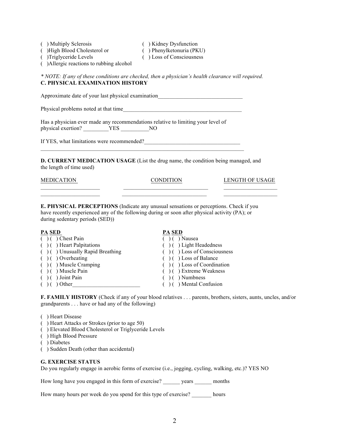- ( ) Multiply Sclerosis ( ) Kidney Dysfunction
- ( ) High Blood Cholesterol or ( ) Phenylketonuria (PKU)<br>( ) Triglyceride Levels ( ) Loss of Consciousness
- 

- 
- $( )$  Loss of Consciousness
- ( )Allergic reactions to rubbing alcohol

*\* NOTE: If any of these conditions are checked, then a physician's health clearance will required.* **C. PHYSICAL EXAMINATION HISTORY**

Approximate date of your last physical examination

Physical problems noted at that time\_\_\_\_\_\_\_\_\_\_\_\_\_\_\_\_\_\_\_\_\_\_\_\_\_\_\_\_\_\_\_\_\_\_\_\_\_\_\_\_\_\_

Has a physician ever made any recommendations relative to limiting your level of physical exertion? \_\_\_\_\_\_\_\_\_YES \_\_\_\_\_\_\_\_\_\_\_NO

If YES, what limitations were recommended?

**D. CURRENT MEDICATION USAGE** (List the drug name, the condition being managed, and the length of time used)

\_\_\_\_\_\_\_\_\_\_\_\_\_\_\_\_\_\_\_\_\_ \_\_\_\_\_\_\_\_\_\_\_\_\_\_\_\_\_\_\_\_\_\_\_\_\_\_\_\_\_\_ \_\_\_\_\_\_\_\_\_\_\_\_\_\_\_\_\_\_\_

MEDICATION CONDITION LENGTH OF USAGE

**E. PHYSICAL PERCEPTIONS** (Indicate any unusual sensations or perceptions. Check if you have recently experienced any of the following during or soon after physical activity (PA); or during sedentary periods (SED))

 $\frac{PA}{( ) ( )}$  Chest Pain<br>  $\frac{PA}{( ) ( )}$  Chest Pain ( ) ( ) Chest Pain ( ) ( ) Nausea<br>( ) ( ) Heart Palpitations ( ) ( ) Light Headedness  $( )$  ( ) Heart Palpitations ( ) ( ) Unusually Rapid Breathing ( ) ( ) Loss of Consciousness<br>( ) ( ) Overheating ( ) ( ) Loss of Balance  $( )$  ( ) Loss of Balance ( ) ( ) Muscle Cramping ( ) ( ) Loss of Coordination<br>( ) ( ) Muscle Pain ( ) ( ) Extreme Weakness ( ) ( ) Extreme Weakness<br>( ) ( ) Numbness  $( )$  ( ) Joint Pain ( ) ( ) Other  $( )$  ( ) Other  $( )$  ( ) Mental Confusion

**F. FAMILY HISTORY** (Check if any of your blood relatives . . . parents, brothers, sisters, aunts, uncles, and/or grandparents . . . have or had any of the following)

- ( ) Heart Disease
- ( ) Heart Attacks or Strokes (prior to age 50)
- ( ) Elevated Blood Cholesterol or Triglyceride Levels
- ( ) High Blood Pressure
- ( ) Diabetes
- ( ) Sudden Death (other than accidental)

#### **G. EXERCISE STATUS**

Do you regularly engage in aerobic forms of exercise (i.e., jogging, cycling, walking, etc.)? YES NO

How long have you engaged in this form of exercise? years months

How many hours per week do you spend for this type of exercise? hours